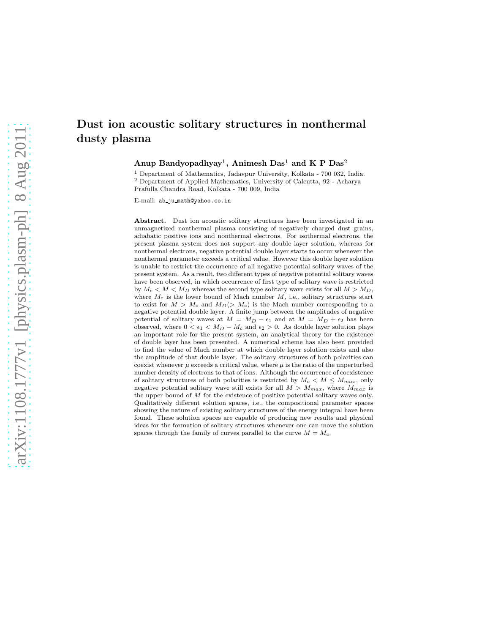# dusty plasma

# Dust ion acoustic solitary structures in nonthermal

Anup Bandyopadhyay<sup>1</sup>, Animesh Das<sup>1</sup> and K P Das<sup>2</sup>

<sup>1</sup> Department of Mathematics, Jadavpur University, Kolkata - 700 032, India. <sup>2</sup> Department of Applied Mathematics, University of Calcutta, 92 - Acharya Prafulla Chandra Road, Kolkata - 700 009, India

E-mail: ab ju math@yahoo.co.in

Abstract. Dust ion acoustic solitary structures have been investigated in an unmagnetized nonthermal plasma consisting of negatively charged dust grains, adiabatic positive ions and nonthermal electrons. For isothermal electrons, the present plasma system does not support any double layer solution, whereas for nonthermal electrons, negative potential double layer starts to occur whenever the nonthermal parameter exceeds a critical value. However this double layer solution is unable to restrict the occurrence of all negative potential solitary waves of the present system. As a result, two different types of negative potential solitary waves have been observed, in which occurrence of first type of solitary wave is restricted by  $M_c < M < M_D$  whereas the second type solitary wave exists for all  $M > M_D$ , where  $M_c$  is the lower bound of Mach number  $M$ , i.e., solitary structures start to exist for  $M > M_c$  and  $M_D$ ( $> M_c$ ) is the Mach number corresponding to a negative potential double layer. A finite jump between the amplitudes of negative potential of solitary waves at  $M = M_D - \epsilon_1$  and at  $M = M_D + \epsilon_2$  has been observed, where  $0 < \epsilon_1 < M_D - M_c$  and  $\epsilon_2 > 0$ . As double layer solution plays an important role for the present system, an analytical theory for the existence of double layer has been presented. A numerical scheme has also been provided to find the value of Mach number at which double layer solution exists and also the amplitude of that double layer. The solitary structures of both polarities can coexist whenever  $\mu$  exceeds a critical value, where  $\mu$  is the ratio of the unperturbed number density of electrons to that of ions. Although the occurrence of coexistence of solitary structures of both polarities is restricted by  $M_c < M \leq M_{max}$ , only negative potential solitary wave still exists for all  $M > M_{max}$ , where  $M_{max}$  is the upper bound of M for the existence of positive potential solitary waves only. Qualitatively different solution spaces, i.e., the compositional parameter spaces showing the nature of existing solitary structures of the energy integral have been found. These solution spaces are capable of producing new results and physical ideas for the formation of solitary structures whenever one can move the solution spaces through the family of curves parallel to the curve  $M = M_c$ .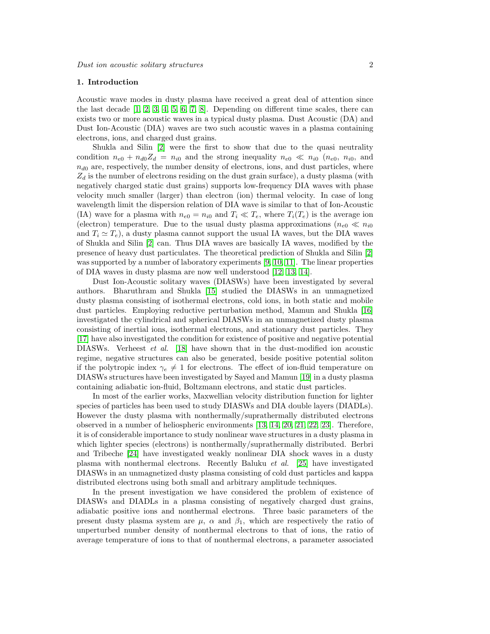# 1. Introduction

Acoustic wave modes in dusty plasma have received a great deal of attention since the last decade  $[1, 2, 3, 4, 5, 6, 7, 8]$  $[1, 2, 3, 4, 5, 6, 7, 8]$  $[1, 2, 3, 4, 5, 6, 7, 8]$  $[1, 2, 3, 4, 5, 6, 7, 8]$  $[1, 2, 3, 4, 5, 6, 7, 8]$  $[1, 2, 3, 4, 5, 6, 7, 8]$  $[1, 2, 3, 4, 5, 6, 7, 8]$  $[1, 2, 3, 4, 5, 6, 7, 8]$ . Depending on different time scales, there can exists two or more acoustic waves in a typical dusty plasma. Dust Acoustic (DA) and Dust Ion-Acoustic (DIA) waves are two such acoustic waves in a plasma containing electrons, ions, and charged dust grains.

Shukla and Silin [\[2\]](#page-18-1) were the first to show that due to the quasi neutrality condition  $n_{e0} + n_{d0}Z_d = n_{i0}$  and the strong inequality  $n_{e0} \ll n_{i0}$  ( $n_{e0}$ ,  $n_{i0}$ , and  $n_{d0}$  are, respectively, the number density of electrons, ions, and dust particles, where  $Z_d$  is the number of electrons residing on the dust grain surface), a dusty plasma (with negatively charged static dust grains) supports low-frequency DIA waves with phase velocity much smaller (larger) than electron (ion) thermal velocity. In case of long wavelength limit the dispersion relation of DIA wave is similar to that of Ion-Acoustic (IA) wave for a plasma with  $n_{e0} = n_{i0}$  and  $T_i \ll T_e$ , where  $T_i(T_e)$  is the average ion (electron) temperature. Due to the usual dusty plasma approximations ( $n_{e0} \ll n_{i0}$ and  $T_i \simeq T_e$ , a dusty plasma cannot support the usual IA waves, but the DIA waves of Shukla and Silin [\[2\]](#page-18-1) can. Thus DIA waves are basically IA waves, modified by the presence of heavy dust particulates. The theoretical prediction of Shukla and Silin [\[2\]](#page-18-1) was supported by a number of laboratory experiments [\[9,](#page-18-8) [10,](#page-18-9) [11\]](#page-18-10). The linear properties of DIA waves in dusty plasma are now well understood [\[12,](#page-18-11) [13,](#page-18-12) [14\]](#page-18-13).

Dust Ion-Acoustic solitary waves (DIASWs) have been investigated by several authors. Bharuthram and Shukla [\[15\]](#page-18-14) studied the DIASWs in an unmagnetized dusty plasma consisting of isothermal electrons, cold ions, in both static and mobile dust particles. Employing reductive perturbation method, Mamun and Shukla [\[16\]](#page-18-15) investigated the cylindrical and spherical DIASWs in an unmagnetized dusty plasma consisting of inertial ions, isothermal electrons, and stationary dust particles. They [\[17\]](#page-18-16) have also investigated the condition for existence of positive and negative potential DIASWs. Verheest et al. [\[18\]](#page-18-17) have shown that in the dust-modified ion acoustic regime, negative structures can also be generated, beside positive potential soliton if the polytropic index  $\gamma_e \neq 1$  for electrons. The effect of ion-fluid temperature on DIASWs structures have been investigated by Sayed and Mamun [\[19\]](#page-18-18) in a dusty plasma containing adiabatic ion-fluid, Boltzmann electrons, and static dust particles.

In most of the earlier works, Maxwellian velocity distribution function for lighter species of particles has been used to study DIASWs and DIA double layers (DIADLs). However the dusty plasma with nonthermally/suprathermally distributed electrons observed in a number of heliospheric environments [\[13,](#page-18-12) [14,](#page-18-13) [20,](#page-18-19) [21,](#page-18-20) [22,](#page-18-21) [23\]](#page-18-22). Therefore, it is of considerable importance to study nonlinear wave structures in a dusty plasma in which lighter species (electrons) is nonthermally/suprathermally distributed. Berbri and Tribeche [\[24\]](#page-18-23) have investigated weakly nonlinear DIA shock waves in a dusty plasma with nonthermal electrons. Recently Baluku et al. [\[25\]](#page-18-24) have investigated DIASWs in an unmagnetized dusty plasma consisting of cold dust particles and kappa distributed electrons using both small and arbitrary amplitude techniques.

In the present investigation we have considered the problem of existence of DIASWs and DIADLs in a plasma consisting of negatively charged dust grains, adiabatic positive ions and nonthermal electrons. Three basic parameters of the present dusty plasma system are  $\mu$ ,  $\alpha$  and  $\beta_1$ , which are respectively the ratio of unperturbed number density of nonthermal electrons to that of ions, the ratio of average temperature of ions to that of nonthermal electrons, a parameter associated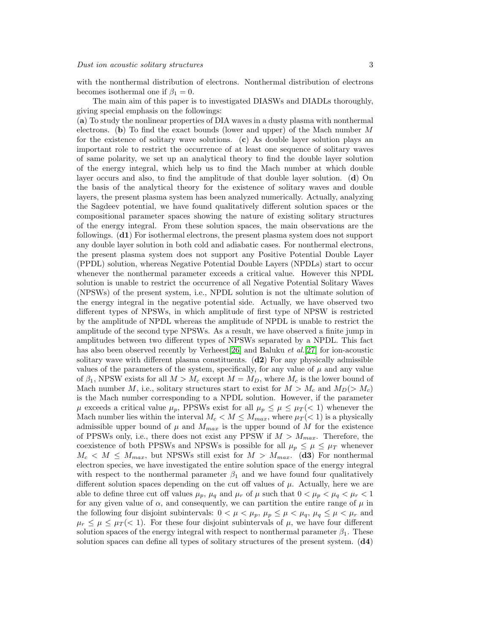with the nonthermal distribution of electrons. Nonthermal distribution of electrons becomes isothermal one if  $\beta_1 = 0$ .

The main aim of this paper is to investigated DIASWs and DIADLs thoroughly, giving special emphasis on the followings:

(a) To study the nonlinear properties of DIA waves in a dusty plasma with nonthermal electrons. (b) To find the exact bounds (lower and upper) of the Mach number M for the existence of solitary wave solutions. (c) As double layer solution plays an important role to restrict the occurrence of at least one sequence of solitary waves of same polarity, we set up an analytical theory to find the double layer solution of the energy integral, which help us to find the Mach number at which double layer occurs and also, to find the amplitude of that double layer solution.  $(d)$  On the basis of the analytical theory for the existence of solitary waves and double layers, the present plasma system has been analyzed numerically. Actually, analyzing the Sagdeev potential, we have found qualitatively different solution spaces or the compositional parameter spaces showing the nature of existing solitary structures of the energy integral. From these solution spaces, the main observations are the followings. (d1) For isothermal electrons, the present plasma system does not support any double layer solution in both cold and adiabatic cases. For nonthermal electrons, the present plasma system does not support any Positive Potential Double Layer (PPDL) solution, whereas Negative Potential Double Layers (NPDLs) start to occur whenever the nonthermal parameter exceeds a critical value. However this NPDL solution is unable to restrict the occurrence of all Negative Potential Solitary Waves (NPSWs) of the present system, i.e., NPDL solution is not the ultimate solution of the energy integral in the negative potential side. Actually, we have observed two different types of NPSWs, in which amplitude of first type of NPSW is restricted by the amplitude of NPDL whereas the amplitude of NPDL is unable to restrict the amplitude of the second type NPSWs. As a result, we have observed a finite jump in amplitudes between two different types of NPSWs separated by a NPDL. This fact has also been observed recently by Verheest[\[26\]](#page-18-25) and Baluku *et al.*[\[27\]](#page-18-26) for ion-acoustic solitary wave with different plasma constituents.  $(d2)$  For any physically admissible values of the parameters of the system, specifically, for any value of  $\mu$  and any value of  $\beta_1$ , NPSW exists for all  $M > M_c$  except  $M = M_D$ , where  $M_c$  is the lower bound of Mach number M, i.e., solitary structures start to exist for  $M > M_c$  and  $M_D(> M_c)$ is the Mach number corresponding to a NPDL solution. However, if the parameter  $\mu$  exceeds a critical value  $\mu_p$ , PPSWs exist for all  $\mu_p \leq \mu \leq \mu_T (< 1)$  whenever the Mach number lies within the interval  $M_c < M \leq M_{max}$ , where  $\mu_T(< 1)$  is a physically admissible upper bound of  $\mu$  and  $M_{max}$  is the upper bound of M for the existence of PPSWs only, i.e., there does not exist any PPSW if  $M > M_{max}$ . Therefore, the coexistence of both PPSWs and NPSWs is possible for all  $\mu_p \leq \mu \leq \mu_T$  whenever  $M_c < M \leq M_{max}$ , but NPSWs still exist for  $M > M_{max}$ . (d3) For nonthermal electron species, we have investigated the entire solution space of the energy integral with respect to the nonthermal parameter  $\beta_1$  and we have found four qualitatively different solution spaces depending on the cut off values of  $\mu$ . Actually, here we are able to define three cut off values  $\mu_p$ ,  $\mu_q$  and  $\mu_r$  of  $\mu$  such that  $0 < \mu_p < \mu_q < \mu_r < 1$ for any given value of  $\alpha$ , and consequently, we can partition the entire range of  $\mu$  in the following four disjoint subintervals:  $0 < \mu < \mu_p$ ,  $\mu_p \leq \mu < \mu_q$ ,  $\mu_q \leq \mu < \mu_r$  and  $\mu_r \leq \mu \leq \mu_T \leq 1$ . For these four disjoint subintervals of  $\mu$ , we have four different solution spaces of the energy integral with respect to nonthermal parameter  $\beta_1$ . These solution spaces can define all types of solitary structures of the present system.  $(d4)$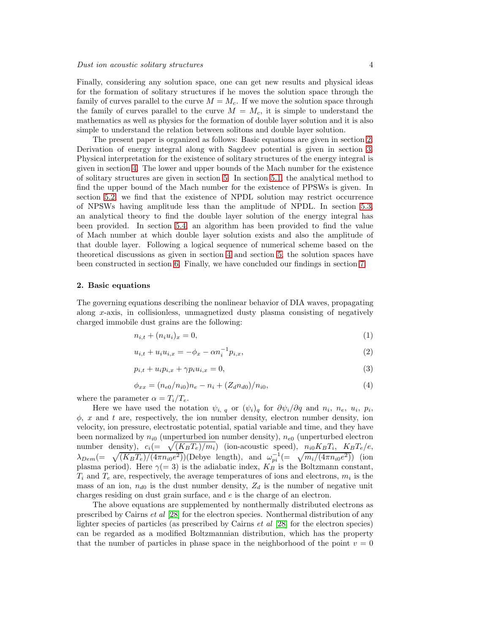Finally, considering any solution space, one can get new results and physical ideas for the formation of solitary structures if he moves the solution space through the family of curves parallel to the curve  $M = M_c$ . If we move the solution space through the family of curves parallel to the curve  $M = M_c$ , it is simple to understand the mathematics as well as physics for the formation of double layer solution and it is also simple to understand the relation between solitons and double layer solution.

The present paper is organized as follows: Basic equations are given in section [2.](#page-3-0) Derivation of energy integral along with Sagdeev potential is given in section [3.](#page-4-0) Physical interpretation for the existence of solitary structures of the energy integral is given in section [4.](#page-5-0) The lower and upper bounds of the Mach number for the existence of solitary structures are given in section [5.](#page-6-0) In section [5.1,](#page-6-1) the analytical method to find the upper bound of the Mach number for the existence of PPSWs is given. In section [5.2,](#page-7-0) we find that the existence of NPDL solution may restrict occurrence of NPSWs having amplitude less than the amplitude of NPDL. In section [5.3,](#page-8-0) an analytical theory to find the double layer solution of the energy integral has been provided. In section [5.4,](#page-9-0) an algorithm has been provided to find the value of Mach number at which double layer solution exists and also the amplitude of that double layer. Following a logical sequence of numerical scheme based on the theoretical discussions as given in section [4](#page-5-0) and section [5,](#page-6-0) the solution spaces have been constructed in section [6.](#page-12-0) Finally, we have concluded our findings in section [7.](#page-17-0)

#### <span id="page-3-0"></span>2. Basic equations

The governing equations describing the nonlinear behavior of DIA waves, propagating along x-axis, in collisionless, unmagnetized dusty plasma consisting of negatively charged immobile dust grains are the following:

<span id="page-3-2"></span>
$$
n_{i,t} + (n_i u_i)_x = 0,\t\t(1)
$$

$$
u_{i,t} + u_i u_{i,x} = -\phi_x - \alpha n_i^{-1} p_{i,x},
$$
\n(2)

<span id="page-3-3"></span>
$$
p_{i,t} + u_i p_{i,x} + \gamma p_i u_{i,x} = 0,\t\t(3)
$$

<span id="page-3-1"></span>
$$
\phi_{xx} = (n_{e0}/n_{i0})n_e - n_i + (Z_d n_{d0})/n_{i0},\tag{4}
$$

where the parameter  $\alpha = T_i/T_e$ .

Here we have used the notation  $\psi_{i,q}$  or  $(\psi_i)_q$  for  $\partial \psi_i / \partial q$  and  $n_i$ ,  $n_e$ ,  $u_i$ ,  $p_i$ ,  $\phi$ , x and t are, respectively, the ion number density, electron number density, ion velocity, ion pressure, electrostatic potential, spatial variable and time, and they have been normalized by  $n_{i0}$  (unperturbed ion number density),  $n_{e0}$  (unperturbed electron number density),  $c_i (= \sqrt{(K_B T_e)/m_i})$  (ion-acoustic speed),  $n_{i0} K_B T_i$ ,  $K_B T_e/e$ ,  $\lambda_{Dem} = \sqrt{(K_B T_e)/(4\pi n_{i0}e^2)}$  (Debye length), and  $\omega_{pi}^{-1} = \sqrt{m_i/(4\pi n_{i0}e^2)}$  (ion plasma period). Here  $\gamma(=3)$  is the adiabatic index,  $K_B$  is the Boltzmann constant,  $T_i$  and  $T_e$  are, respectively, the average temperatures of ions and electrons,  $m_i$  is the mass of an ion,  $n_{d0}$  is the dust number density,  $Z_d$  is the number of negative unit charges residing on dust grain surface, and e is the charge of an electron.

The above equations are supplemented by nonthermally distributed electrons as prescribed by Cairns et al [\[28\]](#page-18-27) for the electron species. Nonthermal distribution of any lighter species of particles (as prescribed by Cairns et al [\[28\]](#page-18-27) for the electron species) can be regarded as a modified Boltzmannian distribution, which has the property that the number of particles in phase space in the neighborhood of the point  $v = 0$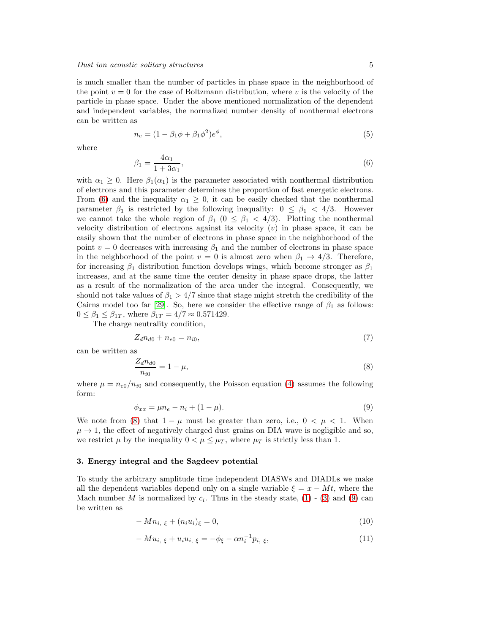is much smaller than the number of particles in phase space in the neighborhood of the point  $v = 0$  for the case of Boltzmann distribution, where v is the velocity of the particle in phase space. Under the above mentioned normalization of the dependent and independent variables, the normalized number density of nonthermal electrons can be written as

$$
n_e = (1 - \beta_1 \phi + \beta_1 \phi^2) e^{\phi}, \tag{5}
$$

where

<span id="page-4-1"></span>
$$
\beta_1 = \frac{4\alpha_1}{1 + 3\alpha_1},\tag{6}
$$

with  $\alpha_1 \geq 0$ . Here  $\beta_1(\alpha_1)$  is the parameter associated with nonthermal distribution of electrons and this parameter determines the proportion of fast energetic electrons. From [\(6\)](#page-4-1) and the inequality  $\alpha_1 \geq 0$ , it can be easily checked that the nonthermal parameter  $\beta_1$  is restricted by the following inequality:  $0 \leq \beta_1 < 4/3$ . However we cannot take the whole region of  $\beta_1$  ( $0 \leq \beta_1 < 4/3$ ). Plotting the nonthermal velocity distribution of electrons against its velocity  $(v)$  in phase space, it can be easily shown that the number of electrons in phase space in the neighborhood of the point  $v = 0$  decreases with increasing  $\beta_1$  and the number of electrons in phase space in the neighborhood of the point  $v = 0$  is almost zero when  $\beta_1 \rightarrow 4/3$ . Therefore, for increasing  $\beta_1$  distribution function develops wings, which become stronger as  $\beta_1$ increases, and at the same time the center density in phase space drops, the latter as a result of the normalization of the area under the integral. Consequently, we should not take values of  $\beta_1 > 4/7$  since that stage might stretch the credibility of the Cairns model too far [\[29\]](#page-18-28). So, here we consider the effective range of  $\beta_1$  as follows:  $0 \leq \beta_1 \leq \beta_{1T}$ , where  $\beta_{1T} = 4/7 \approx 0.571429$ .

The charge neutrality condition,

<span id="page-4-5"></span>
$$
Z_d n_{d0} + n_{e0} = n_{i0},\t\t(7)
$$

can be written as

<span id="page-4-2"></span>
$$
\frac{Z_d n_{d0}}{n_{i0}} = 1 - \mu,\tag{8}
$$

where  $\mu = n_{e0}/n_{i0}$  and consequently, the Poisson equation [\(4\)](#page-3-1) assumes the following form:

<span id="page-4-3"></span>
$$
\phi_{xx} = \mu n_e - n_i + (1 - \mu). \tag{9}
$$

We note from [\(8\)](#page-4-2) that  $1 - \mu$  must be greater than zero, i.e.,  $0 < \mu < 1$ . When  $\mu \rightarrow 1$ , the effect of negatively charged dust grains on DIA wave is negligible and so, we restrict  $\mu$  by the inequality  $0 < \mu \leq \mu_T$ , where  $\mu_T$  is strictly less than 1.

#### <span id="page-4-0"></span>3. Energy integral and the Sagdeev potential

To study the arbitrary amplitude time independent DIASWs and DIADLs we make all the dependent variables depend only on a single variable  $\xi = x - Mt$ , where the Mach number M is normalized by  $c_i$ . Thus in the steady state, [\(1\)](#page-3-2) - [\(3\)](#page-3-3) and [\(9\)](#page-4-3) can be written as

<span id="page-4-4"></span>
$$
-Mn_{i, \xi} + (n_i u_i)_{\xi} = 0, \qquad (10)
$$

$$
-Mu_{i, \xi} + u_i u_{i, \xi} = -\phi_{\xi} - \alpha n_i^{-1} p_{i, \xi}, \qquad (11)
$$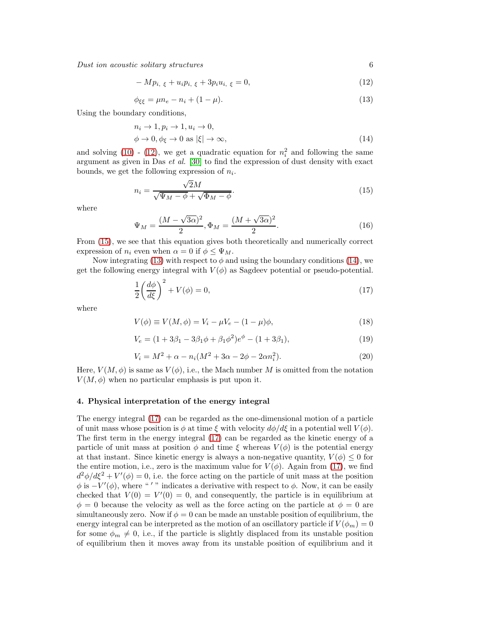Dust ion acoustic solitary structures 6

<span id="page-5-1"></span>
$$
- Mp_{i, \xi} + u_i p_{i, \xi} + 3p_i u_{i, \xi} = 0,
$$
\n(12)

<span id="page-5-3"></span>
$$
\phi_{\xi\xi} = \mu n_e - n_i + (1 - \mu). \tag{13}
$$

Using the boundary conditions,

<span id="page-5-4"></span>
$$
n_i \to 1, p_i \to 1, u_i \to 0,
$$
  
\n
$$
\phi \to 0, \phi_{\xi} \to 0 \text{ as } |\xi| \to \infty,
$$
\n(14)

and solving [\(10\)](#page-4-4) - [\(12\)](#page-5-1), we get a quadratic equation for  $n_i^2$  and following the same argument as given in Das et al. [\[30\]](#page-18-29) to find the expression of dust density with exact bounds, we get the following expression of  $n_i$ .

<span id="page-5-2"></span>
$$
n_i = \frac{\sqrt{2}M}{\sqrt{\Psi_M - \phi} + \sqrt{\Phi_M - \phi}}.\tag{15}
$$

where

$$
\Psi_M = \frac{(M - \sqrt{3\alpha})^2}{2}, \Phi_M = \frac{(M + \sqrt{3\alpha})^2}{2}.
$$
\n(16)

From [\(15\)](#page-5-2), we see that this equation gives both theoretically and numerically correct expression of  $n_i$  even when  $\alpha = 0$  if  $\phi \leq \Psi_M$ .

Now integrating [\(13\)](#page-5-3) with respect to  $\phi$  and using the boundary conditions [\(14\)](#page-5-4), we get the following energy integral with  $V(\phi)$  as Sagdeev potential or pseudo-potential.

<span id="page-5-5"></span>
$$
\frac{1}{2}\left(\frac{d\phi}{d\xi}\right)^2 + V(\phi) = 0,\tag{17}
$$

where

<span id="page-5-6"></span>
$$
V(\phi) \equiv V(M, \phi) = V_i - \mu V_e - (1 - \mu)\phi,
$$
\n(18)

$$
V_e = (1 + 3\beta_1 - 3\beta_1\phi + \beta_1\phi^2)e^{\phi} - (1 + 3\beta_1),
$$
\n(19)

<span id="page-5-7"></span>
$$
V_i = M^2 + \alpha - n_i(M^2 + 3\alpha - 2\phi - 2\alpha n_i^2).
$$
 (20)

Here,  $V(M, \phi)$  is same as  $V(\phi)$ , i.e., the Mach number M is omitted from the notation  $V(M, \phi)$  when no particular emphasis is put upon it.

#### <span id="page-5-0"></span>4. Physical interpretation of the energy integral

The energy integral [\(17\)](#page-5-5) can be regarded as the one-dimensional motion of a particle of unit mass whose position is  $\phi$  at time  $\xi$  with velocity  $d\phi/d\xi$  in a potential well  $V(\phi)$ . The first term in the energy integral [\(17\)](#page-5-5) can be regarded as the kinetic energy of a particle of unit mass at position  $\phi$  and time  $\xi$  whereas  $V(\phi)$  is the potential energy at that instant. Since kinetic energy is always a non-negative quantity,  $V(\phi) \leq 0$  for the entire motion, i.e., zero is the maximum value for  $V(\phi)$ . Again from [\(17\)](#page-5-5), we find  $d^2\phi/d\xi^2 + V'(\phi) = 0$ , i.e. the force acting on the particle of unit mass at the position  $\phi$  is  $-V'(\phi)$ , where "'" indicates a derivative with respect to  $\phi$ . Now, it can be easily checked that  $V(0) = V'(0) = 0$ , and consequently, the particle is in equilibrium at  $\phi = 0$  because the velocity as well as the force acting on the particle at  $\phi = 0$  are simultaneously zero. Now if  $\phi = 0$  can be made an unstable position of equilibrium, the energy integral can be interpreted as the motion of an oscillatory particle if  $V(\phi_m) = 0$ for some  $\phi_m \neq 0$ , i.e., if the particle is slightly displaced from its unstable position of equilibrium then it moves away from its unstable position of equilibrium and it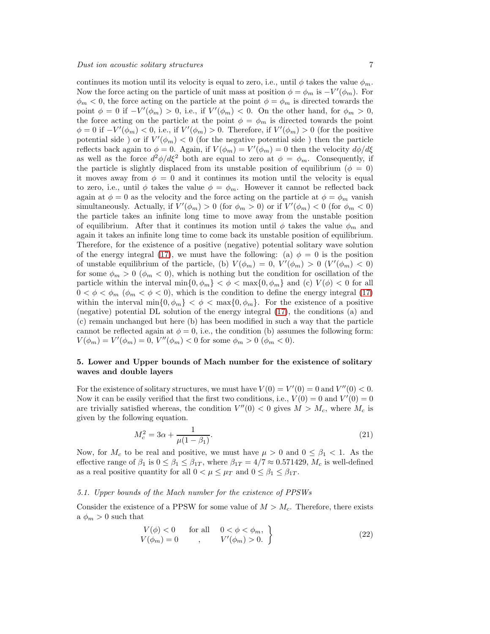continues its motion until its velocity is equal to zero, i.e., until  $\phi$  takes the value  $\phi_m$ . Now the force acting on the particle of unit mass at position  $\phi = \phi_m$  is  $-V'(\phi_m)$ . For  $\phi_m < 0$ , the force acting on the particle at the point  $\phi = \phi_m$  is directed towards the point  $\phi = 0$  if  $-V'(\phi_m) > 0$ , i.e., if  $V'(\phi_m) < 0$ . On the other hand, for  $\phi_m > 0$ , the force acting on the particle at the point  $\phi = \phi_m$  is directed towards the point  $\phi = 0$  if  $-V'(\phi_m) < 0$ , i.e., if  $V'(\phi_m) > 0$ . Therefore, if  $V'(\phi_m) > 0$  (for the positive potential side) or if  $V'(\phi_m) < 0$  (for the negative potential side) then the particle reflects back again to  $\phi = 0$ . Again, if  $V(\phi_m) = V'(\phi_m) = 0$  then the velocity  $d\phi/d\xi$ as well as the force  $d^2\phi/d\xi^2$  both are equal to zero at  $\phi = \phi_m$ . Consequently, if the particle is slightly displaced from its unstable position of equilibrium ( $\phi = 0$ ) it moves away from  $\phi = 0$  and it continues its motion until the velocity is equal to zero, i.e., until  $\phi$  takes the value  $\phi = \phi_m$ . However it cannot be reflected back again at  $\phi = 0$  as the velocity and the force acting on the particle at  $\phi = \phi_m$  vanish simultaneously. Actually, if  $V'(\phi_m) > 0$  (for  $\phi_m > 0$ ) or if  $V'(\phi_m) < 0$  (for  $\phi_m < 0$ ) the particle takes an infinite long time to move away from the unstable position of equilibrium. After that it continues its motion until  $\phi$  takes the value  $\phi_m$  and again it takes an infinite long time to come back its unstable position of equilibrium. Therefore, for the existence of a positive (negative) potential solitary wave solution of the energy integral [\(17\)](#page-5-5), we must have the following: (a)  $\phi = 0$  is the position of unstable equilibrium of the particle, (b)  $V(\phi_m) = 0, V'(\phi_m) > 0$   $(V'(\phi_m) < 0)$ for some  $\phi_m > 0$  ( $\phi_m < 0$ ), which is nothing but the condition for oscillation of the particle within the interval  $\min\{0, \phi_m\} < \phi < \max\{0, \phi_m\}$  and (c)  $V(\phi) < 0$  for all  $0 < \phi < \phi_m$  ( $\phi_m < \phi < 0$ ), which is the condition to define the energy integral [\(17\)](#page-5-5) within the interval  $\min\{0, \phi_m\} < \phi < \max\{0, \phi_m\}$ . For the existence of a positive (negative) potential DL solution of the energy integral [\(17\)](#page-5-5), the conditions (a) and (c) remain unchanged but here (b) has been modified in such a way that the particle cannot be reflected again at  $\phi = 0$ , i.e., the condition (b) assumes the following form:  $V(\phi_m) = V'(\phi_m) = 0, V''(\phi_m) < 0$  for some  $\phi_m > 0$   $(\phi_m < 0)$ .

# <span id="page-6-0"></span>5. Lower and Upper bounds of Mach number for the existence of solitary waves and double layers

For the existence of solitary structures, we must have  $V(0) = V'(0) = 0$  and  $V''(0) < 0$ . Now it can be easily verified that the first two conditions, i.e.,  $V(0) = 0$  and  $V'(0) = 0$ are trivially satisfied whereas, the condition  $V''(0) < 0$  gives  $M > M_c$ , where  $M_c$  is given by the following equation.

$$
M_c^2 = 3\alpha + \frac{1}{\mu(1 - \beta_1)}.\tag{21}
$$

Now, for  $M_c$  to be real and positive, we must have  $\mu > 0$  and  $0 \le \beta_1 < 1$ . As the effective range of  $\beta_1$  is  $0 \leq \beta_1 \leq \beta_{1T}$ , where  $\beta_{1T} = 4/7 \approx 0.571429$ ,  $M_c$  is well-defined as a real positive quantity for all  $0 < \mu \leq \mu_T$  and  $0 \leq \beta_1 \leq \beta_{1T}$ .

### <span id="page-6-1"></span>5.1. Upper bounds of the Mach number for the existence of PPSWs

Consider the existence of a PPSW for some value of  $M > M_c$ . Therefore, there exists a  $\phi_m > 0$  such that

<span id="page-6-2"></span>
$$
V(\phi) < 0 \quad \text{for all} \quad 0 < \phi < \phi_m, V(\phi_m) = 0 \quad , \quad V'(\phi_m) > 0. \quad \}
$$
 (22)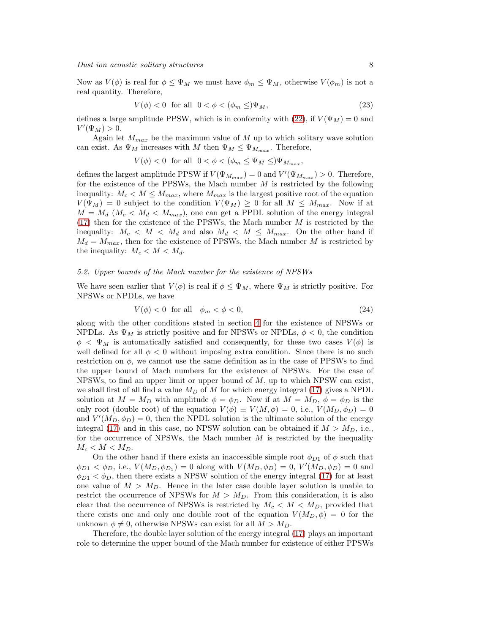Now as  $V(\phi)$  is real for  $\phi \leq \Psi_M$  we must have  $\phi_m \leq \Psi_M$ , otherwise  $V(\phi_m)$  is not a real quantity. Therefore,

$$
V(\phi) < 0 \quad \text{for all} \quad 0 < \phi < (\phi_m \leq) \Psi_M,\tag{23}
$$

defines a large amplitude PPSW, which is in conformity with [\(22\)](#page-6-2), if  $V(\Psi_M) = 0$  and  $V'(\Psi_M) > 0.$ 

Again let  $M_{max}$  be the maximum value of M up to which solitary wave solution can exist. As  $\Psi_M$  increases with M then  $\Psi_M \leq \Psi_{M_{max}}$ . Therefore,

$$
V(\phi) < 0 \text{ for all } 0 < \phi < (\phi_m \le \Psi_M \le )\Psi_{M_{max}},
$$

defines the largest amplitude PPSW if  $V(\Psi_{M_{max}}) = 0$  and  $V'(\Psi_{M_{max}}) > 0$ . Therefore, for the existence of the PPSWs, the Mach number  $M$  is restricted by the following inequality:  $M_c < M \leq M_{max}$ , where  $M_{max}$  is the largest positive root of the equation  $V(\Psi_M) = 0$  subject to the condition  $V(\Psi_M) \geq 0$  for all  $M \leq M_{max}$ . Now if at  $M = M_d$  ( $M_c < M_d < M_{max}$ ), one can get a PPDL solution of the energy integral  $(17)$  then for the existence of the PPSWs, the Mach number M is restricted by the inequality:  $M_c < M < M_d$  and also  $M_d < M \leq M_{max}$ . On the other hand if  $M_d = M_{max}$ , then for the existence of PPSWs, the Mach number M is restricted by the inequality:  $M_c < M < M_d$ .

#### <span id="page-7-0"></span>5.2. Upper bounds of the Mach number for the existence of NPSWs

We have seen earlier that  $V(\phi)$  is real if  $\phi \leq \Psi_M$ , where  $\Psi_M$  is strictly positive. For NPSWs or NPDLs, we have

$$
V(\phi) < 0 \quad \text{for all} \quad \phi_m < \phi < 0,\tag{24}
$$

along with the other conditions stated in section [4](#page-5-0) for the existence of NPSWs or NPDLs. As  $\Psi_M$  is strictly positive and for NPSWs or NPDLs,  $\phi < 0$ , the condition  $\phi < \Psi_M$  is automatically satisfied and consequently, for these two cases  $V(\phi)$  is well defined for all  $\phi < 0$  without imposing extra condition. Since there is no such restriction on  $\phi$ , we cannot use the same definition as in the case of PPSWs to find the upper bound of Mach numbers for the existence of NPSWs. For the case of NPSWs, to find an upper limit or upper bound of  $M$ , up to which NPSW can exist, we shall first of all find a value  $M_D$  of M for which energy integral [\(17\)](#page-5-5) gives a NPDL solution at  $M = M_D$  with amplitude  $\phi = \phi_D$ . Now if at  $M = M_D$ ,  $\phi = \phi_D$  is the only root (double root) of the equation  $V(\phi) \equiv V(M, \phi) = 0$ , i.e.,  $V(M_D, \phi_D) = 0$ and  $V'(M_D, \phi_D) = 0$ , then the NPDL solution is the ultimate solution of the energy integral [\(17\)](#page-5-5) and in this case, no NPSW solution can be obtained if  $M > M_D$ , i.e., for the occurrence of NPSWs, the Mach number  $M$  is restricted by the inequality  $M_c < M < M_D$ .

On the other hand if there exists an inaccessible simple root  $\phi_{D1}$  of  $\phi$  such that  $\phi_{D1} < \phi_D$ , i.e.,  $V(M_D, \phi_{D_1}) = 0$  along with  $V(M_D, \phi_D) = 0$ ,  $V'(M_D, \phi_D) = 0$  and  $\phi_{D1} < \phi_D$ , then there exists a NPSW solution of the energy integral [\(17\)](#page-5-5) for at least one value of  $M > M_D$ . Hence in the later case double layer solution is unable to restrict the occurrence of NPSWs for  $M > M_D$ . From this consideration, it is also clear that the occurrence of NPSWs is restricted by  $M_c < M < M_D$ , provided that there exists one and only one double root of the equation  $V(M_D, \phi) = 0$  for the unknown  $\phi \neq 0$ , otherwise NPSWs can exist for all  $M > M_D$ .

Therefore, the double layer solution of the energy integral [\(17\)](#page-5-5) plays an important role to determine the upper bound of the Mach number for existence of either PPSWs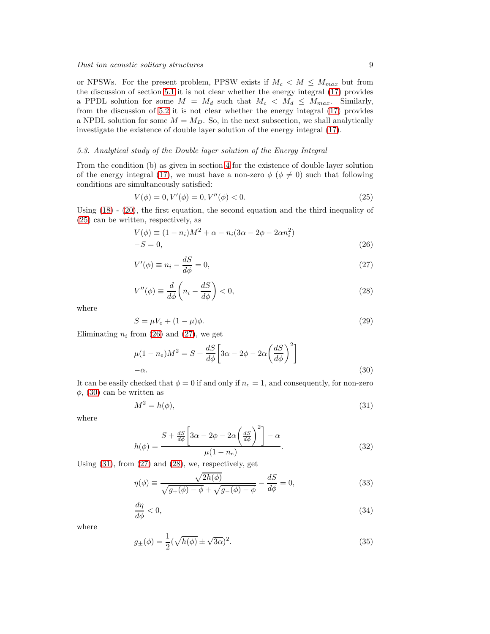or NPSWs. For the present problem, PPSW exists if  $M_c < M \leq M_{max}$  but from the discussion of section [5.1](#page-6-1) it is not clear whether the energy integral [\(17\)](#page-5-5) provides a PPDL solution for some  $M = M_d$  such that  $M_c < M_d \leq M_{max}$ . Similarly, from the discussion of [5.2](#page-7-0) it is not clear whether the energy integral [\(17\)](#page-5-5) provides a NPDL solution for some  $M = M_D$ . So, in the next subsection, we shall analytically investigate the existence of double layer solution of the energy integral [\(17\)](#page-5-5).

## <span id="page-8-0"></span>5.3. Analytical study of the Double layer solution of the Energy Integral

From the condition (b) as given in section [4](#page-5-0) for the existence of double layer solution of the energy integral [\(17\)](#page-5-5), we must have a non-zero  $\phi$  ( $\phi \neq 0$ ) such that following conditions are simultaneously satisfied:

<span id="page-8-1"></span>
$$
V(\phi) = 0, V'(\phi) = 0, V''(\phi) < 0. \tag{25}
$$

Using [\(18\)](#page-5-6) - [\(20\)](#page-5-7), the first equation, the second equation and the third inequality of [\(25\)](#page-8-1) can be written, respectively, as

<span id="page-8-2"></span>
$$
V(\phi) \equiv (1 - n_i)M^2 + \alpha - n_i(3\alpha - 2\phi - 2\alpha n_i^2) - S = 0,
$$
\n(26)

<span id="page-8-3"></span>
$$
V'(\phi) \equiv n_i - \frac{dS}{d\phi} = 0,\tag{27}
$$

<span id="page-8-6"></span>
$$
V''(\phi) \equiv \frac{d}{d\phi} \left( n_i - \frac{dS}{d\phi} \right) < 0,\tag{28}
$$

where

$$
S = \mu V_e + (1 - \mu)\phi. \tag{29}
$$

Eliminating  $n_i$  from [\(26\)](#page-8-2) and [\(27\)](#page-8-3), we get

<span id="page-8-4"></span>
$$
\mu(1 - n_e)M^2 = S + \frac{dS}{d\phi} \left[ 3\alpha - 2\phi - 2\alpha \left( \frac{dS}{d\phi} \right)^2 \right]
$$
  
- $\alpha$ . (30)

It can be easily checked that  $\phi = 0$  if and only if  $n_e = 1$ , and consequently, for non-zero  $\phi$ , [\(30\)](#page-8-4) can be written as

<span id="page-8-5"></span>
$$
M^2 = h(\phi),\tag{31}
$$

where

<span id="page-8-8"></span>
$$
h(\phi) = \frac{S + \frac{dS}{d\phi} \left[3\alpha - 2\phi - 2\alpha \left(\frac{dS}{d\phi}\right)^2\right] - \alpha}{\mu(1 - n_e)}.
$$
\n(32)

Using [\(31\)](#page-8-5), from [\(27\)](#page-8-3) and [\(28\)](#page-8-6), we, respectively, get

<span id="page-8-7"></span>
$$
\eta(\phi) \equiv \frac{\sqrt{2h(\phi)}}{\sqrt{g_{+}(\phi) - \phi} + \sqrt{g_{-}(\phi) - \phi}} - \frac{dS}{d\phi} = 0,
$$
\n(33)

$$
\frac{d\eta}{d\phi} < 0,\tag{34}
$$

where

$$
g_{\pm}(\phi) = \frac{1}{2}(\sqrt{h(\phi)} \pm \sqrt{3\alpha})^2. \tag{35}
$$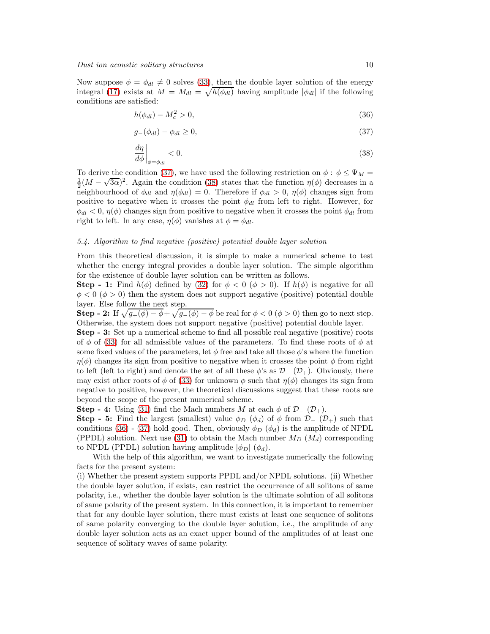Now suppose  $\phi = \phi_{dl} \neq 0$  solves [\(33\)](#page-8-7), then the double layer solution of the energy integral [\(17\)](#page-5-5) exists at  $M = M_{dl} = \sqrt{h(\phi_{dl})}$  having amplitude  $|\phi_{dl}|$  if the following conditions are satisfied:

<span id="page-9-3"></span>
$$
h(\phi_{dl}) - M_c^2 > 0,\t\t(36)
$$

<span id="page-9-1"></span>
$$
g_{-}(\phi_{dl}) - \phi_{dl} \ge 0,\tag{37}
$$

<span id="page-9-2"></span>
$$
\left. \frac{d\eta}{d\phi} \right|_{\phi = \phi_{dl}} < 0. \tag{38}
$$

To derive the condition [\(37\)](#page-9-1), we have used the following restriction on  $\phi : \phi \leq \Psi_M =$  $\frac{1}{2}(M-\sqrt{3\alpha})^2$ . Again the condition [\(38\)](#page-9-2) states that the function  $\eta(\phi)$  decreases in a neighbourhood of  $\phi_{dl}$  and  $\eta(\phi_{dl}) = 0$ . Therefore if  $\phi_{dl} > 0$ ,  $\eta(\phi)$  changes sign from positive to negative when it crosses the point  $\phi_{dl}$  from left to right. However, for  $\phi_{dl} < 0$ ,  $\eta(\phi)$  changes sign from positive to negative when it crosses the point  $\phi_{dl}$  from right to left. In any case,  $\eta(\phi)$  vanishes at  $\phi = \phi_{dl}$ .

# <span id="page-9-0"></span>5.4. Algorithm to find negative (positive) potential double layer solution

From this theoretical discussion, it is simple to make a numerical scheme to test whether the energy integral provides a double layer solution. The simple algorithm for the existence of double layer solution can be written as follows.

**Step - 1:** Find  $h(\phi)$  defined by [\(32\)](#page-8-8) for  $\phi < 0$  ( $\phi > 0$ ). If  $h(\phi)$  is negative for all  $\phi < 0 \ (\phi > 0)$  then the system does not support negative (positive) potential double layer. Else follow the next step.

**Step - 2:** If  $\sqrt{g_{+}(\phi) - \phi} + \sqrt{g_{-}(\phi) - \phi}$  be real for  $\phi < 0$  ( $\phi > 0$ ) then go to next step. Otherwise, the system does not support negative (positive) potential double layer.

Step - 3: Set up a numerical scheme to find all possible real negative (positive) roots of  $\phi$  of [\(33\)](#page-8-7) for all admissible values of the parameters. To find these roots of  $\phi$  at some fixed values of the parameters, let  $\phi$  free and take all those  $\phi$ 's where the function  $\eta(\phi)$  changes its sign from positive to negative when it crosses the point  $\phi$  from right to left (left to right) and denote the set of all these  $\phi$ 's as  $\mathcal{D}_{-}(\mathcal{D}_{+})$ . Obviously, there may exist other roots of  $\phi$  of [\(33\)](#page-8-7) for unknown  $\phi$  such that  $\eta(\phi)$  changes its sign from negative to positive, however, the theoretical discussions suggest that these roots are beyond the scope of the present numerical scheme.

**Step - 4:** Using [\(31\)](#page-8-5) find the Mach numbers M at each  $\phi$  of  $\mathcal{D}_-(\mathcal{D}_+)$ .

**Step - 5:** Find the largest (smallest) value  $\phi_D$  ( $\phi_d$ ) of  $\phi$  from  $\mathcal{D}_-(\mathcal{D}_+)$  such that conditions [\(36\)](#page-9-3) - [\(37\)](#page-9-1) hold good. Then, obviously  $\phi_D$  ( $\phi_d$ ) is the amplitude of NPDL (PPDL) solution. Next use [\(31\)](#page-8-5) to obtain the Mach number  $M_D$  ( $M_d$ ) corresponding to NPDL (PPDL) solution having amplitude  $|\phi_D|$  ( $\phi_d$ ).

With the help of this algorithm, we want to investigate numerically the following facts for the present system:

(i) Whether the present system supports PPDL and/or NPDL solutions. (ii) Whether the double layer solution, if exists, can restrict the occurrence of all solitons of same polarity, i.e., whether the double layer solution is the ultimate solution of all solitons of same polarity of the present system. In this connection, it is important to remember that for any double layer solution, there must exists at least one sequence of solitons of same polarity converging to the double layer solution, i.e., the amplitude of any double layer solution acts as an exact upper bound of the amplitudes of at least one sequence of solitary waves of same polarity.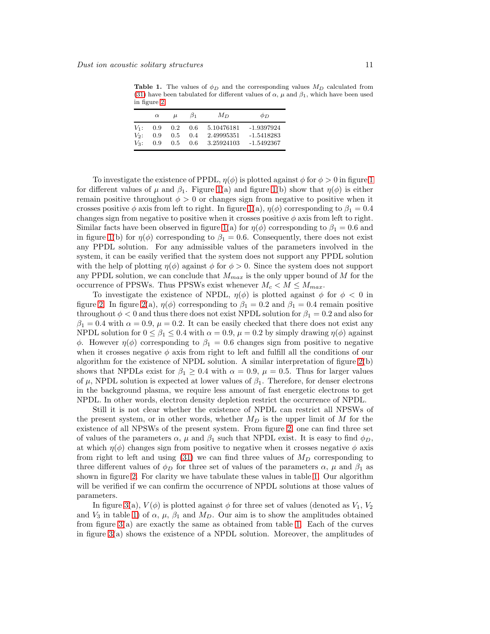<span id="page-10-0"></span>Table 1. The values of  $\phi_D$  and the corresponding values  $M_D$  calculated from [\(31\)](#page-8-5) have been tabulated for different values of  $\alpha$ ,  $\mu$  and  $\beta_1$ , which have been used in figure [2.](#page-19-0)

|         | $\alpha$ | $\mu$ | $\beta_1$ | $M_{D}$    | $\phi_D$     |
|---------|----------|-------|-----------|------------|--------------|
| $V_1$ : | 0.9      | 0.2   | 0.6       | 5.10476181 | -1.9397924   |
| $V_2$ : | 0.9      | 0.5   | 0.4       | 2.49995351 | -1.5418283   |
| $V_3$ : | 0.9      | 0.5   | 0.6       | 3.25924103 | $-1.5492367$ |

To investigate the existence of PPDL,  $\eta(\phi)$  is plotted against  $\phi$  for  $\phi > 0$  in figure [1](#page-19-1) for different values of  $\mu$  and  $\beta_1$ . Figure [1\(](#page-19-1)a) and figure 1(b) show that  $\eta(\phi)$  is either remain positive throughout  $\phi > 0$  or changes sign from negative to positive when it crosses positive  $\phi$  axis from left to right. In figure [1\(](#page-19-1)a),  $\eta(\phi)$  corresponding to  $\beta_1 = 0.4$ changes sign from negative to positive when it crosses positive  $\phi$  axis from left to right. Similar facts have been observed in figure [1\(](#page-19-1)a) for  $\eta(\phi)$  corresponding to  $\beta_1 = 0.6$  and in figure [1\(](#page-19-1)b) for  $\eta(\phi)$  corresponding to  $\beta_1 = 0.6$ . Consequently, there does not exist any PPDL solution. For any admissible values of the parameters involved in the system, it can be easily verified that the system does not support any PPDL solution with the help of plotting  $\eta(\phi)$  against  $\phi$  for  $\phi > 0$ . Since the system does not support any PPDL solution, we can conclude that  $M_{max}$  is the only upper bound of M for the occurrence of PPSWs. Thus PPSWs exist whenever  $M_c < M \leq M_{max}$ .

To investigate the existence of NPDL,  $\eta(\phi)$  is plotted against  $\phi$  for  $\phi < 0$  in figure [2.](#page-19-0) In figure [2\(](#page-19-0)a),  $\eta(\phi)$  corresponding to  $\beta_1 = 0.2$  and  $\beta_1 = 0.4$  remain positive throughout  $\phi < 0$  and thus there does not exist NPDL solution for  $\beta_1 = 0.2$  and also for  $\beta_1 = 0.4$  with  $\alpha = 0.9$ ,  $\mu = 0.2$ . It can be easily checked that there does not exist any NPDL solution for  $0 \le \beta_1 \le 0.4$  with  $\alpha = 0.9$ ,  $\mu = 0.2$  by simply drawing  $\eta(\phi)$  against φ. However  $\eta(\phi)$  corresponding to  $\beta_1 = 0.6$  changes sign from positive to negative when it crosses negative  $\phi$  axis from right to left and fulfill all the conditions of our algorithm for the existence of NPDL solution. A similar interpretation of figure [2\(](#page-19-0)b) shows that NPDLs exist for  $\beta_1 \geq 0.4$  with  $\alpha = 0.9$ ,  $\mu = 0.5$ . Thus for larger values of  $\mu$ , NPDL solution is expected at lower values of  $\beta_1$ . Therefore, for denser electrons in the background plasma, we require less amount of fast energetic electrons to get NPDL. In other words, electron density depletion restrict the occurrence of NPDL.

Still it is not clear whether the existence of NPDL can restrict all NPSWs of the present system, or in other words, whether  $M_D$  is the upper limit of M for the existence of all NPSWs of the present system. From figure [2,](#page-19-0) one can find three set of values of the parameters  $\alpha$ ,  $\mu$  and  $\beta_1$  such that NPDL exist. It is easy to find  $\phi_D$ , at which  $\eta(\phi)$  changes sign from positive to negative when it crosses negative  $\phi$  axis from right to left and using  $(31)$  we can find three values of  $M_D$  corresponding to three different values of  $\phi_D$  for three set of values of the parameters  $\alpha$ ,  $\mu$  and  $\beta_1$  as shown in figure [2.](#page-19-0) For clarity we have tabulate these values in table [1.](#page-10-0) Our algorithm will be verified if we can confirm the occurrence of NPDL solutions at those values of parameters.

In figure [3\(](#page-20-0)a),  $V(\phi)$  is plotted against  $\phi$  for three set of values (denoted as  $V_1, V_2$ and  $V_3$  in table [1\)](#page-10-0) of  $\alpha$ ,  $\mu$ ,  $\beta_1$  and  $M_D$ . Our aim is to show the amplitudes obtained from figure [3\(](#page-20-0)a) are exactly the same as obtained from table [1.](#page-10-0) Each of the curves in figure [3\(](#page-20-0)a) shows the existence of a NPDL solution. Moreover, the amplitudes of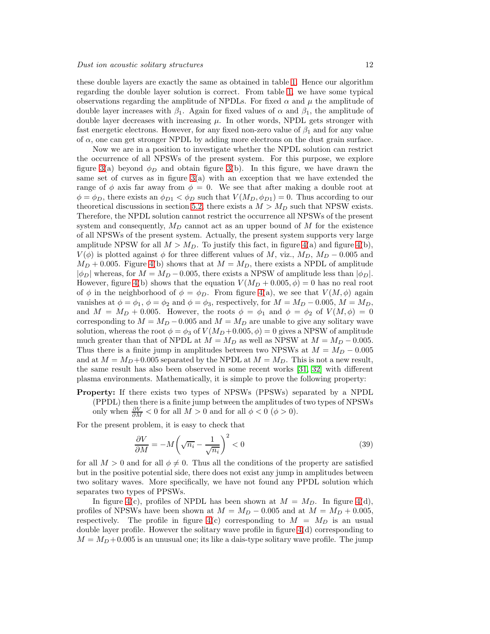these double layers are exactly the same as obtained in table [1.](#page-10-0) Hence our algorithm regarding the double layer solution is correct. From table [1,](#page-10-0) we have some typical observations regarding the amplitude of NPDLs. For fixed  $\alpha$  and  $\mu$  the amplitude of double layer increases with  $\beta_1$ . Again for fixed values of  $\alpha$  and  $\beta_1$ , the amplitude of double layer decreases with increasing  $\mu$ . In other words, NPDL gets stronger with fast energetic electrons. However, for any fixed non-zero value of  $\beta_1$  and for any value of  $\alpha$ , one can get stronger NPDL by adding more electrons on the dust grain surface.

Now we are in a position to investigate whether the NPDL solution can restrict the occurrence of all NPSWs of the present system. For this purpose, we explore figure [3\(](#page-20-0)a) beyond  $\phi_D$  and obtain figure 3(b). In this figure, we have drawn the same set of curves as in figure  $3(a)$  with an exception that we have extended the range of  $\phi$  axis far away from  $\phi = 0$ . We see that after making a double root at  $\phi = \phi_D$ , there exists an  $\phi_{D1} < \phi_D$  such that  $V(M_D, \phi_{D1}) = 0$ . Thus according to our theoretical discussions in section [5.2,](#page-7-0) there exists a  $M > M_D$  such that NPSW exists. Therefore, the NPDL solution cannot restrict the occurrence all NPSWs of the present system and consequently,  $M_D$  cannot act as an upper bound of M for the existence of all NPSWs of the present system. Actually, the present system supports very large amplitude NPSW for all  $M > M_D$ . To justify this fact, in figure [4\(](#page-21-0)a) and figure 4(b),  $V(\phi)$  is plotted against  $\phi$  for three different values of M, viz.,  $M_D$ ,  $M_D$  – 0.005 and  $M_D + 0.005$ . Figure [4\(](#page-21-0)b) shows that at  $M = M_D$ , there exists a NPDL of amplitude  $|\phi_D|$  whereas, for  $M = M_D - 0.005$ , there exists a NPSW of amplitude less than  $|\phi_D|$ . However, figure [4\(](#page-21-0)b) shows that the equation  $V(M_D + 0.005, \phi) = 0$  has no real root of  $\phi$  in the neighborhood of  $\phi = \phi_D$ . From figure [4\(](#page-21-0)a), we see that  $V(M, \phi)$  again vanishes at  $\phi = \phi_1$ ,  $\phi = \phi_2$  and  $\phi = \phi_3$ , respectively, for  $M = M_D - 0.005$ ,  $M = M_D$ , and  $M = M_D + 0.005$ . However, the roots  $\phi = \phi_1$  and  $\phi = \phi_2$  of  $V(M, \phi) = 0$ corresponding to  $M = M_D - 0.005$  and  $M = M_D$  are unable to give any solitary wave solution, whereas the root  $\phi = \phi_3$  of  $V(M_D + 0.005, \phi) = 0$  gives a NPSW of amplitude much greater than that of NPDL at  $M = M_D$  as well as NPSW at  $M = M_D - 0.005$ . Thus there is a finite jump in amplitudes between two NPSWs at  $M = M_D - 0.005$ and at  $M = M_D + 0.005$  separated by the NPDL at  $M = M_D$ . This is not a new result, the same result has also been observed in some recent works [\[31,](#page-18-30) [32\]](#page-18-31) with different plasma environments. Mathematically, it is simple to prove the following property:

Property: If there exists two types of NPSWs (PPSWs) separated by a NPDL (PPDL) then there is a finite jump between the amplitudes of two types of NPSWs only when  $\frac{\partial V}{\partial M} < 0$  for all  $M > 0$  and for all  $\phi < 0$   $(\phi > 0)$ .

For the present problem, it is easy to check that

$$
\frac{\partial V}{\partial M} = -M \left( \sqrt{n_i} - \frac{1}{\sqrt{n_i}} \right)^2 < 0 \tag{39}
$$

for all  $M > 0$  and for all  $\phi \neq 0$ . Thus all the conditions of the property are satisfied but in the positive potential side, there does not exist any jump in amplitudes between two solitary waves. More specifically, we have not found any PPDL solution which separates two types of PPSWs.

In figure [4\(](#page-21-0)c), profiles of NPDL has been shown at  $M = M_D$ . In figure 4(d), profiles of NPSWs have been shown at  $M = M_D - 0.005$  and at  $M = M_D + 0.005$ , respectively. The profile in figure  $4(c)$  corresponding to  $M = M_D$  is an usual double layer profile. However the solitary wave profile in figure [4\(](#page-21-0)d) corresponding to  $M = M_D + 0.005$  is an unusual one; its like a dais-type solitary wave profile. The jump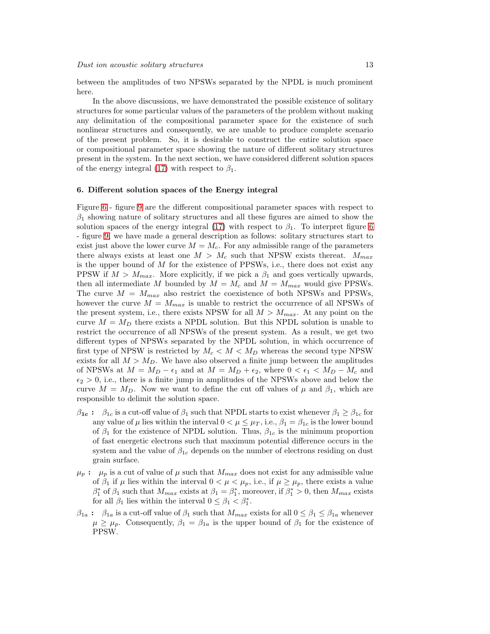between the amplitudes of two NPSWs separated by the NPDL is much prominent here.

In the above discussions, we have demonstrated the possible existence of solitary structures for some particular values of the parameters of the problem without making any delimitation of the compositional parameter space for the existence of such nonlinear structures and consequently, we are unable to produce complete scenario of the present problem. So, it is desirable to construct the entire solution space or compositional parameter space showing the nature of different solitary structures present in the system. In the next section, we have considered different solution spaces of the energy integral [\(17\)](#page-5-5) with respect to  $\beta_1$ .

# <span id="page-12-0"></span>6. Different solution spaces of the Energy integral

Figure [6](#page-22-0) - figure [9](#page-25-0) are the different compositional parameter spaces with respect to  $\beta_1$  showing nature of solitary structures and all these figures are aimed to show the solution spaces of the energy integral [\(17\)](#page-5-5) with respect to  $\beta_1$ . To interpret figure [6](#page-22-0) - figure [9,](#page-25-0) we have made a general description as follows: solitary structures start to exist just above the lower curve  $M = M_c$ . For any admissible range of the parameters there always exists at least one  $M > M_c$  such that NPSW exists thereat.  $M_{max}$ is the upper bound of  $M$  for the existence of PPSWs, i.e., there does not exist any PPSW if  $M > M_{max}$ . More explicitly, if we pick a  $\beta_1$  and goes vertically upwards, then all intermediate M bounded by  $M = M_c$  and  $M = M_{max}$  would give PPSWs. The curve  $M = M_{max}$  also restrict the coexistence of both NPSWs and PPSWs, however the curve  $M = M_{max}$  is unable to restrict the occurrence of all NPSWs of the present system, i.e., there exists NPSW for all  $M > M_{max}$ . At any point on the curve  $M = M_D$  there exists a NPDL solution. But this NPDL solution is unable to restrict the occurrence of all NPSWs of the present system. As a result, we get two different types of NPSWs separated by the NPDL solution, in which occurrence of first type of NPSW is restricted by  $M_c < M < M_D$  whereas the second type NPSW exists for all  $M > M_D$ . We have also observed a finite jump between the amplitudes of NPSWs at  $M = M_D - \epsilon_1$  and at  $M = M_D + \epsilon_2$ , where  $0 < \epsilon_1 < M_D - M_c$  and  $\epsilon_2 > 0$ , i.e., there is a finite jump in amplitudes of the NPSWs above and below the curve  $M = M_D$ . Now we want to define the cut off values of  $\mu$  and  $\beta_1$ , which are responsible to delimit the solution space.

- $\beta_{1c}$ :  $\beta_{1c}$  is a cut-off value of  $\beta_1$  such that NPDL starts to exist whenever  $\beta_1 \geq \beta_{1c}$  for any value of  $\mu$  lies within the interval  $0 < \mu \leq \mu_T$ , i.e.,  $\beta_1 = \beta_{1c}$  is the lower bound of  $\beta_1$  for the existence of NPDL solution. Thus,  $\beta_{1c}$  is the minimum proportion of fast energetic electrons such that maximum potential difference occurs in the system and the value of  $\beta_{1c}$  depends on the number of electrons residing on dust grain surface.
- $\mu_p$ :  $\mu_p$  is a cut of value of  $\mu$  such that  $M_{max}$  does not exist for any admissible value of  $\beta_1$  if  $\mu$  lies within the interval  $0 < \mu < \mu_p$ , i.e., if  $\mu \geq \mu_p$ , there exists a value  $\beta_1^*$  of  $\beta_1$  such that  $M_{max}$  exists at  $\beta_1 = \beta_1^*$ , moreover, if  $\beta_1^* > 0$ , then  $M_{max}$  exists for all  $\beta_1$  lies within the interval  $0 \leq \beta_1 < \beta_1^*$ .
- $\beta_{1a}$ :  $\beta_{1a}$  is a cut-off value of  $\beta_1$  such that  $M_{max}$  exists for all  $0 \leq \beta_1 \leq \beta_{1a}$  whenever  $\mu \geq \mu_p$ . Consequently,  $\beta_1 = \beta_{1a}$  is the upper bound of  $\beta_1$  for the existence of PPSW.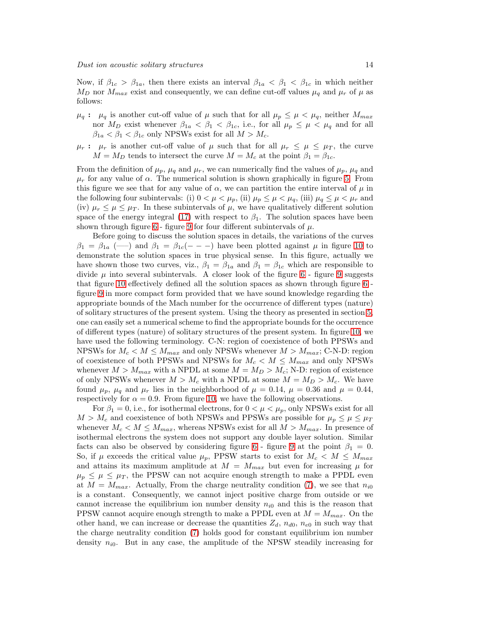Now, if  $\beta_{1c} > \beta_{1a}$ , then there exists an interval  $\beta_{1a} < \beta_1 < \beta_{1c}$  in which neither  $M_D$  nor  $M_{max}$  exist and consequently, we can define cut-off values  $\mu_q$  and  $\mu_r$  of  $\mu$  as follows:

- $\mu_q: \mu_q$  is another cut-off value of  $\mu$  such that for all  $\mu_p \leq \mu < \mu_q$ , neither  $M_{max}$ nor  $M_D$  exist whenever  $\beta_{1a} < \beta_1 < \beta_{1c}$ , i.e., for all  $\mu_p \leq \mu < \mu_q$  and for all  $\beta_{1a} < \beta_1 < \beta_{1c}$  only NPSWs exist for all  $M > M_c$ .
- $\mu_r$ :  $\mu_r$  is another cut-off value of  $\mu$  such that for all  $\mu_r \leq \mu \leq \mu_T$ , the curve  $M = M_D$  tends to intersect the curve  $M = M_c$  at the point  $\beta_1 = \beta_{1c}$ .

From the definition of  $\mu_p$ ,  $\mu_q$  and  $\mu_r$ , we can numerically find the values of  $\mu_p$ ,  $\mu_q$  and  $\mu_r$  for any value of  $\alpha$ . The numerical solution is shown graphically in figure [5.](#page-22-1) From this figure we see that for any value of  $\alpha$ , we can partition the entire interval of  $\mu$  in the following four subintervals: (i)  $0 < \mu < \mu_p$ , (ii)  $\mu_p \leq \mu < \mu_q$ , (iii)  $\mu_q \leq \mu < \mu_r$  and (iv)  $\mu_r \leq \mu \leq \mu_T$ . In these subintervals of  $\mu$ , we have qualitatively different solution space of the energy integral [\(17\)](#page-5-5) with respect to  $\beta_1$ . The solution spaces have been shown through figure [6](#page-22-0) - figure [9](#page-25-0) for four different subintervals of  $\mu$ .

Before going to discuss the solution spaces in details, the variations of the curves  $\beta_1 = \beta_{1a}$  (--) and  $\beta_1 = \beta_{1c}(- - -)$  have been plotted against  $\mu$  in figure [10](#page-26-0) to demonstrate the solution spaces in true physical sense. In this figure, actually we have shown those two curves, viz.,  $\beta_1 = \beta_{1a}$  and  $\beta_1 = \beta_{1c}$  which are responsible to divide  $\mu$  into several subintervals. A closer look of the figure [6](#page-22-0) - figure [9](#page-25-0) suggests that figure [10](#page-26-0) effectively defined all the solution spaces as shown through figure [6](#page-22-0) figure [9](#page-25-0) in more compact form provided that we have sound knowledge regarding the appropriate bounds of the Mach number for the occurrence of different types (nature) of solitary structures of the present system. Using the theory as presented in section [5,](#page-6-0) one can easily set a numerical scheme to find the appropriate bounds for the occurrence of different types (nature) of solitary structures of the present system. In figure [10,](#page-26-0) we have used the following terminology. C-N: region of coexistence of both PPSWs and NPSWs for  $M_c < M \leq M_{max}$  and only NPSWs whenever  $M > M_{max}$ ; C-N-D: region of coexistence of both PPSWs and NPSWs for  $M_c < M \leq M_{max}$  and only NPSWs whenever  $M > M_{max}$  with a NPDL at some  $M = M_D > M_c$ ; N-D: region of existence of only NPSWs whenever  $M > M_c$  with a NPDL at some  $M = M_D > M_c$ . We have found  $\mu_p$ ,  $\mu_q$  and  $\mu_r$  lies in the neighborhood of  $\mu = 0.14$ ,  $\mu = 0.36$  and  $\mu = 0.44$ , respectively for  $\alpha = 0.9$ . From figure [10,](#page-26-0) we have the following observations.

For  $\beta_1 = 0$ , i.e., for isothermal electrons, for  $0 < \mu < \mu_p$ , only NPSWs exist for all  $M > M_c$  and coexistence of both NPSWs and PPSWs are possible for  $\mu_p \leq \mu \leq \mu_T$ whenever  $M_c < M \leq M_{max}$ , whereas NPSWs exist for all  $M > M_{max}$ . In presence of isothermal electrons the system does not support any double layer solution. Similar facts can also be observed by considering figure [6](#page-22-0) - figure [9](#page-25-0) at the point  $\beta_1 = 0$ . So, if  $\mu$  exceeds the critical value  $\mu_p$ , PPSW starts to exist for  $M_c < M \leq M_{max}$ and attains its maximum amplitude at  $M = M_{max}$  but even for increasing  $\mu$  for  $\mu_p \leq \mu \leq \mu_T$ , the PPSW can not acquire enough strength to make a PPDL even at  $M = M_{max}$ . Actually, From the charge neutrality condition [\(7\)](#page-4-5), we see that  $n_{i0}$ is a constant. Consequently, we cannot inject positive charge from outside or we cannot increase the equilibrium ion number density  $n_{i0}$  and this is the reason that PPSW cannot acquire enough strength to make a PPDL even at  $M = M_{max}$ . On the other hand, we can increase or decrease the quantities  $Z_d$ ,  $n_{d0}$ ,  $n_{e0}$  in such way that the charge neutrality condition [\(7\)](#page-4-5) holds good for constant equilibrium ion number density  $n_{i0}$ . But in any case, the amplitude of the NPSW steadily increasing for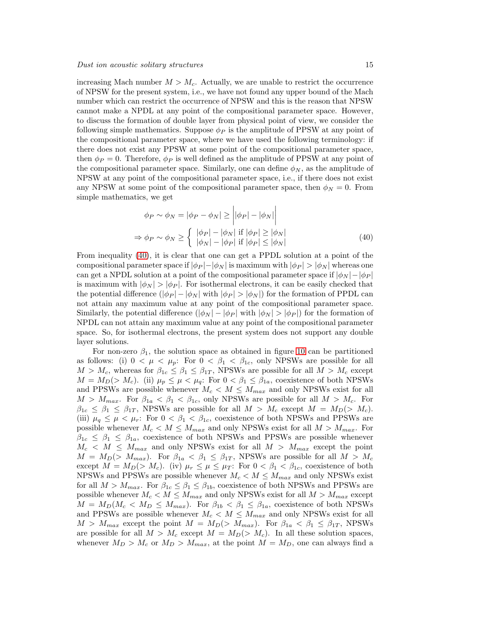increasing Mach number  $M > M_c$ . Actually, we are unable to restrict the occurrence of NPSW for the present system, i.e., we have not found any upper bound of the Mach number which can restrict the occurrence of NPSW and this is the reason that NPSW cannot make a NPDL at any point of the compositional parameter space. However, to discuss the formation of double layer from physical point of view, we consider the following simple mathematics. Suppose  $\phi_P$  is the amplitude of PPSW at any point of the compositional parameter space, where we have used the following terminology: if there does not exist any PPSW at some point of the compositional parameter space, then  $\phi_P = 0$ . Therefore,  $\phi_P$  is well defined as the amplitude of PPSW at any point of the compositional parameter space. Similarly, one can define  $\phi_N$ , as the amplitude of NPSW at any point of the compositional parameter space, i.e., if there does not exist any NPSW at some point of the compositional parameter space, then  $\phi_N = 0$ . From simple mathematics, we get

<span id="page-14-0"></span>
$$
\phi_P \sim \phi_N = |\phi_P - \phi_N| \ge ||\phi_P| - |\phi_N||
$$
  
\n
$$
\Rightarrow \phi_P \sim \phi_N \ge \begin{cases} |\phi_P| - |\phi_N| & \text{if } |\phi_P| \ge |\phi_N| \\ |\phi_N| - |\phi_P| & \text{if } |\phi_P| \le |\phi_N| \end{cases}
$$
\n(40)

From inequality [\(40\)](#page-14-0), it is clear that one can get a PPDL solution at a point of the compositional parameter space if  $|\phi_P| - |\phi_N|$  is maximum with  $|\phi_P| > |\phi_N|$  whereas one can get a NPDL solution at a point of the compositional parameter space if  $|\phi_N| - |\phi_P|$ is maximum with  $|\phi_N| > |\phi_P|$ . For isothermal electrons, it can be easily checked that the potential difference  $(|\phi_P| - |\phi_N| \text{ with } |\phi_P| > |\phi_N|)$  for the formation of PPDL can not attain any maximum value at any point of the compositional parameter space. Similarly, the potential difference  $(|\phi_N| - |\phi_P|)$  with  $|\phi_N| > |\phi_P|$  for the formation of NPDL can not attain any maximum value at any point of the compositional parameter space. So, for isothermal electrons, the present system does not support any double layer solutions.

For non-zero  $\beta_1$ , the solution space as obtained in figure [10](#page-26-0) can be partitioned as follows: (i)  $0 < \mu < \mu_p$ : For  $0 < \beta_1 < \beta_{1c}$ , only NPSWs are possible for all  $M > M_c$ , whereas for  $\beta_{1c} \leq \beta_1 \leq \beta_{1T}$ , NPSWs are possible for all  $M > M_c$  except  $M = M_D(> M_c)$ . (ii)  $\mu_p \leq \mu < \mu_q$ : For  $0 < \beta_1 \leq \beta_{1a}$ , coexistence of both NPSWs and PPSWs are possible whenever  $M_c < M \leq M_{max}$  and only NPSWs exist for all  $M > M_{max}$ . For  $\beta_{1a} < \beta_1 < \beta_{1c}$ , only NPSWs are possible for all  $M > M_c$ . For  $\beta_{1c} \leq \beta_1 \leq \beta_{1T}$ , NPSWs are possible for all  $M > M_c$  except  $M = M_D(\geq M_c)$ . (iii)  $\mu_q \leq \mu < \mu_r$ : For  $0 < \beta_1 < \beta_{1c}$ , coexistence of both NPSWs and PPSWs are possible whenever  $M_c < M \leq M_{max}$  and only NPSWs exist for all  $M > M_{max}$ . For  $\beta_{1c} \leq \beta_1 \leq \beta_{1a}$ , coexistence of both NPSWs and PPSWs are possible whenever  $M_c < M \leq M_{max}$  and only NPSWs exist for all  $M > M_{max}$  except the point  $M = M_D (> M_{max})$ . For  $\beta_{1a} < \beta_1 \leq \beta_{1T}$ , NPSWs are possible for all  $M > M_c$ except  $M = M_D(> M_c)$ . (iv)  $\mu_r \leq \mu \leq \mu_T$ : For  $0 < \beta_1 < \beta_{1c}$ , coexistence of both NPSWs and PPSWs are possible whenever  $M_c < M \leq M_{max}$  and only NPSWs exist for all  $M > M_{max}$ . For  $\beta_{1c} \leq \beta_1 \leq \beta_{1b}$ , coexistence of both NPSWs and PPSWs are possible whenever  $M_c < M \leq M_{max}$  and only NPSWs exist for all  $M > M_{max}$  except  $M = M_D(M_c < M_D \leq M_{max})$ . For  $\beta_{1b} < \beta_1 \leq \beta_{1a}$ , coexistence of both NPSWs and PPSWs are possible whenever  $M_c < M \leq M_{max}$  and only NPSWs exist for all  $M > M_{max}$  except the point  $M = M_D (> M_{max})$ . For  $\beta_{1a} < \beta_1 \leq \beta_{1T}$ , NPSWs are possible for all  $M > M_c$  except  $M = M_D(> M_c)$ . In all these solution spaces, whenever  $M_D > M_c$  or  $M_D > M_{max}$ , at the point  $M = M_D$ , one can always find a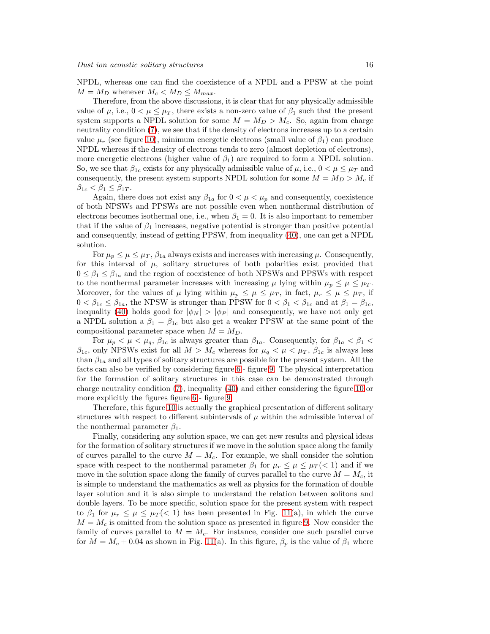NPDL, whereas one can find the coexistence of a NPDL and a PPSW at the point  $M = M_D$  whenever  $M_c < M_D \leq M_{max}$ .

Therefore, from the above discussions, it is clear that for any physically admissible value of  $\mu$ , i.e.,  $0 < \mu \leq \mu_T$ , there exists a non-zero value of  $\beta_1$  such that the present system supports a NPDL solution for some  $M = M_D > M_c$ . So, again from charge neutrality condition [\(7\)](#page-4-5), we see that if the density of electrons increases up to a certain value  $\mu_r$  (see figure [10\)](#page-26-0), minimum energetic electrons (small value of  $\beta_1$ ) can produce NPDL whereas if the density of electrons tends to zero (almost depletion of electrons), more energetic electrons (higher value of  $\beta_1$ ) are required to form a NPDL solution. So, we see that  $\beta_{1c}$  exists for any physically admissible value of  $\mu$ , i.e.,  $0 < \mu \leq \mu_T$  and consequently, the present system supports NPDL solution for some  $M = M_D > M_c$  if  $\beta_{1c} < \beta_1 \leq \beta_{1T}$ .

Again, there does not exist any  $\beta_{1a}$  for  $0 < \mu < \mu_p$  and consequently, coexistence of both NPSWs and PPSWs are not possible even when nonthermal distribution of electrons becomes isothermal one, i.e., when  $\beta_1 = 0$ . It is also important to remember that if the value of  $\beta_1$  increases, negative potential is stronger than positive potential and consequently, instead of getting PPSW, from inequality [\(40\)](#page-14-0), one can get a NPDL solution.

For  $\mu_p \leq \mu \leq \mu_T$ ,  $\beta_{1a}$  always exists and increases with increasing  $\mu$ . Consequently, for this interval of  $\mu$ , solitary structures of both polarities exist provided that  $0 \leq \beta_1 \leq \beta_{1a}$  and the region of coexistence of both NPSWs and PPSWs with respect to the nonthermal parameter increases with increasing  $\mu$  lying within  $\mu_p \leq \mu \leq \mu_T$ . Moreover, for the values of  $\mu$  lying within  $\mu_p \leq \mu \leq \mu_T$ , in fact,  $\mu_r \leq \mu \leq \mu_T$ , if  $0 < \beta_{1c} \leq \beta_{1a}$ , the NPSW is stronger than PPSW for  $0 < \beta_1 < \beta_{1c}$  and at  $\beta_1 = \beta_{1c}$ , inequality [\(40\)](#page-14-0) holds good for  $|\phi_N| > |\phi_P|$  and consequently, we have not only get a NPDL solution a  $\beta_1 = \beta_{1c}$  but also get a weaker PPSW at the same point of the compositional parameter space when  $M = M_D$ .

For  $\mu_p < \mu < \mu_q$ ,  $\beta_{1c}$  is always greater than  $\beta_{1a}$ . Consequently, for  $\beta_{1a} < \beta_1 <$  $\beta_{1c}$ , only NPSWs exist for all  $M > M_c$  whereas for  $\mu_q < \mu < \mu_T$ ,  $\beta_{1c}$  is always less than  $\beta_{1a}$  and all types of solitary structures are possible for the present system. All the facts can also be verified by considering figure [6](#page-22-0) - figure [9.](#page-25-0) The physical interpretation for the formation of solitary structures in this case can be demonstrated through charge neutrality condition [\(7\)](#page-4-5), inequality [\(40\)](#page-14-0) and either considering the figure [10](#page-26-0) or more explicitly the figures figure [6](#page-22-0) - figure [9.](#page-25-0)

Therefore, this figure [10](#page-26-0) is actually the graphical presentation of different solitary structures with respect to different subintervals of  $\mu$  within the admissible interval of the nonthermal parameter  $\beta_1$ .

Finally, considering any solution space, we can get new results and physical ideas for the formation of solitary structures if we move in the solution space along the family of curves parallel to the curve  $M = M_c$ . For example, we shall consider the solution space with respect to the nonthermal parameter  $\beta_1$  for  $\mu_r \leq \mu \leq \mu_T$  (< 1) and if we move in the solution space along the family of curves parallel to the curve  $M = M_c$ , it is simple to understand the mathematics as well as physics for the formation of double layer solution and it is also simple to understand the relation between solitons and double layers. To be more specific, solution space for the present system with respect to  $\beta_1$  for  $\mu_r \leq \mu \leq \mu_T \leq 1$  has been presented in Fig. [11\(](#page-27-0)a), in which the curve  $M = M_c$  is omitted from the solution space as presented in figure [9.](#page-25-0) Now consider the family of curves parallel to  $M = M_c$ . For instance, consider one such parallel curve for  $M = M_c + 0.04$  as shown in Fig. [11\(](#page-27-0)a). In this figure,  $\beta_p$  is the value of  $\beta_1$  where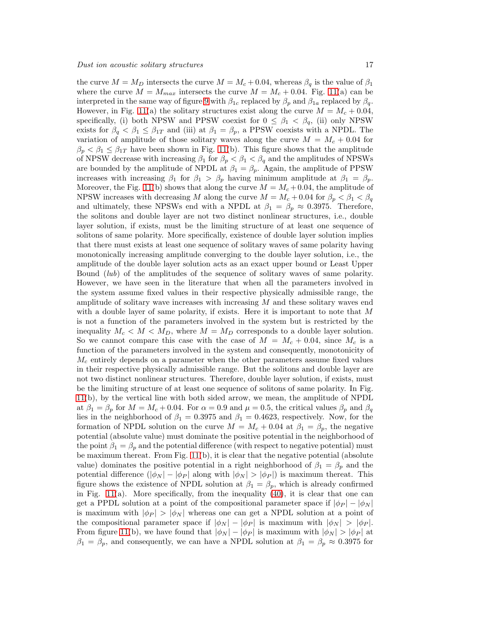the curve  $M = M_D$  intersects the curve  $M = M_c + 0.04$ , whereas  $\beta_q$  is the value of  $\beta_1$ where the curve  $M = M_{max}$  intersects the curve  $M = M_c + 0.04$ . Fig. [11\(](#page-27-0)a) can be interpreted in the same way of figure [9](#page-25-0) with  $\beta_{1c}$  replaced by  $\beta_p$  and  $\beta_{1a}$  replaced by  $\beta_q$ . However, in Fig. [11\(](#page-27-0)a) the solitary structures exist along the curve  $M = M_c + 0.04$ , specifically, (i) both NPSW and PPSW coexist for  $0 \leq \beta_1 < \beta_q$ , (ii) only NPSW exists for  $\beta_q < \beta_1 \leq \beta_{1T}$  and (iii) at  $\beta_1 = \beta_p$ , a PPSW coexists with a NPDL. The variation of amplitude of those solitary waves along the curve  $M = M_c + 0.04$  for  $\beta_p < \beta_1 \leq \beta_{1T}$  have been shown in Fig. [11\(](#page-27-0)b). This figure shows that the amplitude of NPSW decrease with increasing  $\beta_1$  for  $\beta_p < \beta_1 < \beta_q$  and the amplitudes of NPSWs are bounded by the amplitude of NPDL at  $\beta_1 = \beta_p$ . Again, the amplitude of PPSW increases with increasing  $\beta_1$  for  $\beta_1 > \beta_p$  having minimum amplitude at  $\beta_1 = \beta_p$ . Moreover, the Fig. [11\(](#page-27-0)b) shows that along the curve  $M = M_c + 0.04$ , the amplitude of NPSW increases with decreasing M along the curve  $M = M_c + 0.04$  for  $\beta_p < \beta_1 < \beta_q$ and ultimately, these NPSWs end with a NPDL at  $\beta_1 = \beta_p \approx 0.3975$ . Therefore, the solitons and double layer are not two distinct nonlinear structures, i.e., double layer solution, if exists, must be the limiting structure of at least one sequence of solitons of same polarity. More specifically, existence of double layer solution implies that there must exists at least one sequence of solitary waves of same polarity having monotonically increasing amplitude converging to the double layer solution, i.e., the amplitude of the double layer solution acts as an exact upper bound or Least Upper Bound (lub) of the amplitudes of the sequence of solitary waves of same polarity. However, we have seen in the literature that when all the parameters involved in the system assume fixed values in their respective physically admissible range, the amplitude of solitary wave increases with increasing  $M$  and these solitary waves end with a double layer of same polarity, if exists. Here it is important to note that M is not a function of the parameters involved in the system but is restricted by the inequality  $M_c < M < M_D$ , where  $M = M_D$  corresponds to a double layer solution. So we cannot compare this case with the case of  $M = M_c + 0.04$ , since  $M_c$  is a function of the parameters involved in the system and consequently, monotonicity of  $M_c$  entirely depends on a parameter when the other parameters assume fixed values in their respective physically admissible range. But the solitons and double layer are not two distinct nonlinear structures. Therefore, double layer solution, if exists, must be the limiting structure of at least one sequence of solitons of same polarity. In Fig. [11\(](#page-27-0)b), by the vertical line with both sided arrow, we mean, the amplitude of NPDL at  $\beta_1 = \beta_p$  for  $M = M_c + 0.04$ . For  $\alpha = 0.9$  and  $\mu = 0.5$ , the critical values  $\beta_p$  and  $\beta_q$ lies in the neighborhood of  $\beta_1 = 0.3975$  and  $\beta_1 = 0.4623$ , respectively. Now, for the formation of NPDL solution on the curve  $M = M_c + 0.04$  at  $\beta_1 = \beta_p$ , the negative potential (absolute value) must dominate the positive potential in the neighborhood of the point  $\beta_1 = \beta_p$  and the potential difference (with respect to negative potential) must be maximum thereat. From Fig.  $11(b)$ , it is clear that the negative potential (absolute value) dominates the positive potential in a right neighborhood of  $\beta_1 = \beta_p$  and the potential difference  $(|\phi_N| - |\phi_P|)$  along with  $|\phi_N| > |\phi_P|$  is maximum thereat. This figure shows the existence of NPDL solution at  $\beta_1 = \beta_p$ , which is already confirmed in Fig.  $11(a)$ . More specifically, from the inequality  $(40)$ , it is clear that one can get a PPDL solution at a point of the compositional parameter space if  $|\phi_P| - |\phi_N|$ is maximum with  $|\phi_P| > |\phi_N|$  whereas one can get a NPDL solution at a point of the compositional parameter space if  $|\phi_N| - |\phi_P|$  is maximum with  $|\phi_N| > |\phi_P|$ . From figure [11\(](#page-27-0)b), we have found that  $|\phi_N| - |\phi_P|$  is maximum with  $|\phi_N| > |\phi_P|$  at  $\beta_1 = \beta_p$ , and consequently, we can have a NPDL solution at  $\beta_1 = \beta_p \approx 0.3975$  for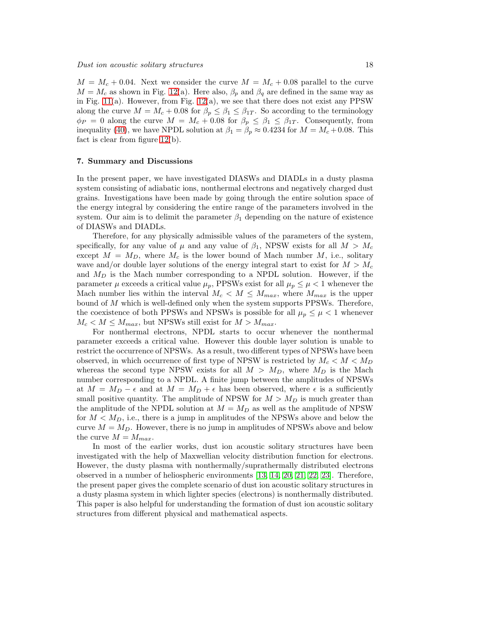$M = M_c + 0.04$ . Next we consider the curve  $M = M_c + 0.08$  parallel to the curve  $M = M_c$  as shown in Fig. [12\(](#page-28-0)a). Here also,  $\beta_p$  and  $\beta_q$  are defined in the same way as in Fig. [11\(](#page-27-0)a). However, from Fig. [12\(](#page-28-0)a), we see that there does not exist any PPSW along the curve  $M = M_c + 0.08$  for  $\beta_p \leq \beta_1 \leq \beta_{1T}$ . So according to the terminology  $\phi_P = 0$  along the curve  $M = M_c + 0.08$  for  $\beta_p \le \beta_1 \le \beta_{1T}$ . Consequently, from inequality [\(40\)](#page-14-0), we have NPDL solution at  $\beta_1 = \beta_p \approx 0.4234$  for  $M = M_c + 0.08$ . This fact is clear from figure [12\(](#page-28-0)b).

#### <span id="page-17-0"></span>7. Summary and Discussions

In the present paper, we have investigated DIASWs and DIADLs in a dusty plasma system consisting of adiabatic ions, nonthermal electrons and negatively charged dust grains. Investigations have been made by going through the entire solution space of the energy integral by considering the entire range of the parameters involved in the system. Our aim is to delimit the parameter  $\beta_1$  depending on the nature of existence of DIASWs and DIADLs.

Therefore, for any physically admissible values of the parameters of the system, specifically, for any value of  $\mu$  and any value of  $\beta_1$ , NPSW exists for all  $M > M_c$ except  $M = M_D$ , where  $M_c$  is the lower bound of Mach number M, i.e., solitary wave and/or double layer solutions of the energy integral start to exist for  $M > M_c$ and  $M_D$  is the Mach number corresponding to a NPDL solution. However, if the parameter  $\mu$  exceeds a critical value  $\mu_p$ , PPSWs exist for all  $\mu_p \leq \mu < 1$  whenever the Mach number lies within the interval  $M_c < M \leq M_{max}$ , where  $M_{max}$  is the upper bound of  $M$  which is well-defined only when the system supports PPSWs. Therefore, the coexistence of both PPSWs and NPSWs is possible for all  $\mu_p \leq \mu < 1$  whenever  $M_c < M \leq M_{max}$ , but NPSWs still exist for  $M > M_{max}$ .

For nonthermal electrons, NPDL starts to occur whenever the nonthermal parameter exceeds a critical value. However this double layer solution is unable to restrict the occurrence of NPSWs. As a result, two different types of NPSWs have been observed, in which occurrence of first type of NPSW is restricted by  $M_c < M < M_D$ whereas the second type NPSW exists for all  $M > M_D$ , where  $M_D$  is the Mach number corresponding to a NPDL. A finite jump between the amplitudes of NPSWs at  $M = M_D - \epsilon$  and at  $M = M_D + \epsilon$  has been observed, where  $\epsilon$  is a sufficiently small positive quantity. The amplitude of NPSW for  $M > M_D$  is much greater than the amplitude of the NPDL solution at  $M = M_D$  as well as the amplitude of NPSW for  $M < M_D$ , i.e., there is a jump in amplitudes of the NPSWs above and below the curve  $M = M_D$ . However, there is no jump in amplitudes of NPSWs above and below the curve  $M = M_{max}$ .

In most of the earlier works, dust ion acoustic solitary structures have been investigated with the help of Maxwellian velocity distribution function for electrons. However, the dusty plasma with nonthermally/suprathermally distributed electrons observed in a number of heliospheric environments [\[13,](#page-18-12) [14,](#page-18-13) [20,](#page-18-19) [21,](#page-18-20) [22,](#page-18-21) [23\]](#page-18-22). Therefore, the present paper gives the complete scenario of dust ion acoustic solitary structures in a dusty plasma system in which lighter species (electrons) is nonthermally distributed. This paper is also helpful for understanding the formation of dust ion acoustic solitary structures from different physical and mathematical aspects.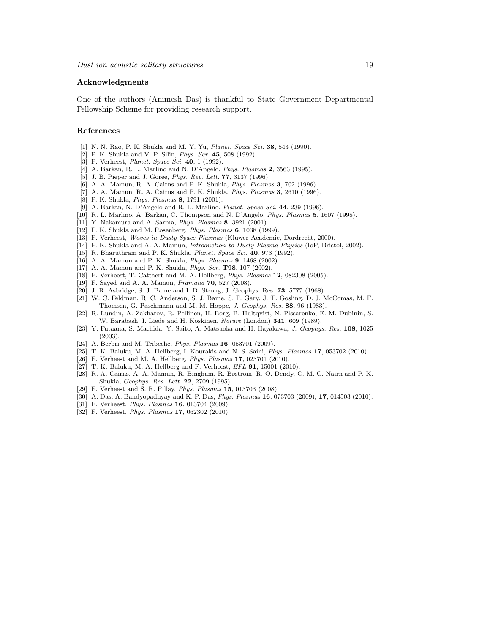#### Acknowledgments

One of the authors (Animesh Das) is thankful to State Government Departmental Fellowship Scheme for providing research support.

#### <span id="page-18-0"></span>References

- <span id="page-18-1"></span>[1] N. N. Rao, P. K. Shukla and M. Y. Yu, *Planet. Space Sci.* **38**, 543 (1990).
- <span id="page-18-2"></span>[2] P. K. Shukla and V. P. Silin, *Phys. Scr.* 45, 508 (1992).
- <span id="page-18-3"></span>[3] F. Verheest, *Planet. Space Sci.* **40**, 1 (1992).
- <span id="page-18-4"></span>[4] A. Barkan, R. L. Marlino and N. D'Angelo, Phys. Plasmas 2, 3563 (1995).
- <span id="page-18-5"></span>[5] J. B. Pieper and J. Goree, *Phys. Rev. Lett.* **77**, 3137 (1996).
- <span id="page-18-6"></span>[6] A. A. Mamun, R. A. Cairns and P. K. Shukla, Phys. Plasmas 3, 702 (1996).
- <span id="page-18-7"></span>[7] A. A. Mamun, R. A. Cairns and P. K. Shukla, Phys. Plasmas 3, 2610 (1996).
- <span id="page-18-8"></span>[8] P. K. Shukla, Phys. Plasmas 8, 1791 (2001).
- <span id="page-18-9"></span>[9] A. Barkan, N. D'Angelo and R. L. Marlino, Planet. Space Sci. 44, 239 (1996).
- <span id="page-18-10"></span>[10] R. L. Marlino, A. Barkan, C. Thompson and N. D'Angelo, Phys. Plasmas 5, 1607 (1998).
- <span id="page-18-11"></span>[11] Y. Nakamura and A. Sarma, Phys. Plasmas 8, 3921 (2001).
- <span id="page-18-12"></span>[12] P. K. Shukla and M. Rosenberg, Phys. Plasmas 6, 1038 (1999).
- <span id="page-18-13"></span>[13] F. Verheest, Waves in Dusty Space Plasmas (Kluwer Academic, Dordrecht, 2000).
- <span id="page-18-14"></span>[14] P. K. Shukla and A. A. Mamun, Introduction to Dusty Plasma Physics (IoP, Bristol, 2002).
- <span id="page-18-15"></span>[15] R. Bharuthram and P. K. Shukla, Planet. Space Sci. 40, 973 (1992).
- <span id="page-18-16"></span>[16] A. A. Mamun and P. K. Shukla, Phys. Plasmas 9, 1468 (2002).
- <span id="page-18-17"></span>[17] A. A. Mamun and P. K. Shukla, Phys. Scr. T98, 107 (2002).
- <span id="page-18-18"></span>[18] F. Verheest, T. Cattaert and M. A. Hellberg, Phys. Plasmas 12, 082308 (2005).
- <span id="page-18-19"></span>[19] F. Sayed and A. A. Mamun, Pramana 70, 527 (2008).
- <span id="page-18-20"></span>[20] J. R. Asbridge, S. J. Bame and I. B. Strong, J. Geophys. Res. 73, 5777 (1968).
- [21] W. C. Feldman, R. C. Anderson, S. J. Bame, S. P. Gary, J. T. Gosling, D. J. McComas, M. F. Thomsen, G. Paschmann and M. M. Hoppe, J. Geophys. Res. 88, 96 (1983).
- <span id="page-18-21"></span>[22] R. Lundin, A. Zakharov, R. Pellinen, H. Borg, B. Hultqvist, N. Pissarenko, E. M. Dubinin, S. W. Barabash, I. Liede and H. Koskinen, Nature (London) 341, 609 (1989).
- <span id="page-18-22"></span>[23] Y. Futaana, S. Machida, Y. Saito, A. Matsuoka and H. Hayakawa, J. Geophys. Res. 108, 1025 (2003).
- <span id="page-18-24"></span><span id="page-18-23"></span>[24] A. Berbri and M. Tribeche, *Phys. Plasmas* **16**, 053701 (2009).
- <span id="page-18-25"></span>[25] T. K. Baluku, M. A. Hellberg, I. Kourakis and N. S. Saini, Phys. Plasmas 17, 053702 (2010).
- <span id="page-18-26"></span>[26] F. Verheest and M. A. Hellberg, Phys. Plasmas 17, 023701 (2010).
- <span id="page-18-27"></span>[27] T. K. Baluku, M. A. Hellberg and F. Verheest, EPL 91, 15001 (2010).
- [28] R. A. Cairns, A. A. Mamun, R. Bingham, R. Böstrom, R. O. Dendy, C. M. C. Nairn and P. K. Shukla, Geophys. Res. Lett. 22, 2709 (1995).
- <span id="page-18-29"></span><span id="page-18-28"></span>[29] F. Verheest and S. R. Pillay, Phys. Plasmas 15, 013703 (2008).
- <span id="page-18-30"></span>[30] A. Das, A. Bandyopadhyay and K. P. Das, Phys. Plasmas 16, 073703 (2009), 17, 014503 (2010).
- <span id="page-18-31"></span>[31] F. Verheest, Phys. Plasmas 16, 013704 (2009).
- [32] F. Verheest, *Phys. Plasmas* **17**, 062302 (2010).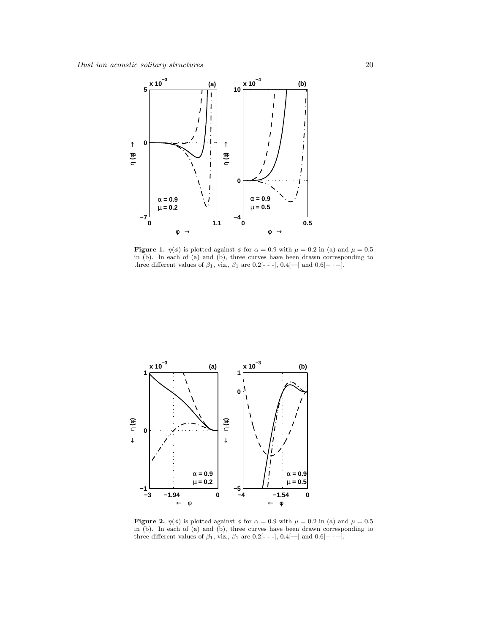

<span id="page-19-1"></span>**Figure 1.**  $\eta(\phi)$  is plotted against  $\phi$  for  $\alpha = 0.9$  with  $\mu = 0.2$  in (a) and  $\mu = 0.5$ in (b). In each of (a) and (b), three curves have been drawn corresponding to three different values of  $\beta_1$ , viz.,  $\beta_1$  are 0.2[- - -], 0.4[—] and 0.6[- · -].



<span id="page-19-0"></span>**Figure 2.**  $\eta(\phi)$  is plotted against  $\phi$  for  $\alpha = 0.9$  with  $\mu = 0.2$  in (a) and  $\mu = 0.5$ in (b). In each of (a) and (b), three curves have been drawn corresponding to three different values of  $\beta_1$ , viz.,  $\beta_1$  are 0.2[- - -], 0.4[--] and 0.6[- · -].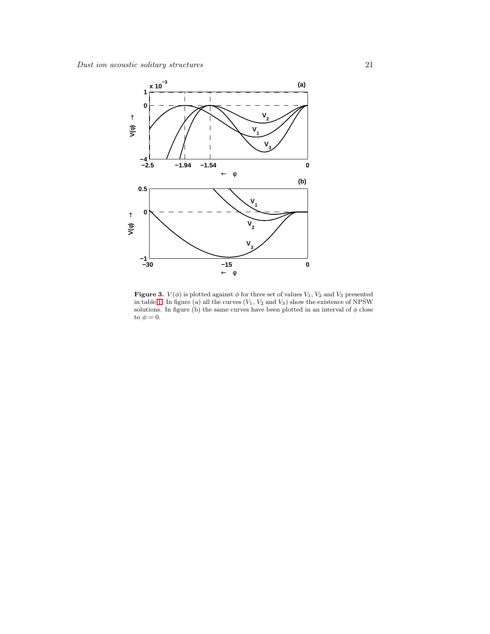

<span id="page-20-0"></span>**Figure 3.**  $V(\phi)$  is plotted against  $\phi$  for three set of values  $V_1$ ,  $V_2$  and  $V_3$  presented in table [1.](#page-10-0) In figure (a) all the curves  $(V_1, V_2$  and  $V_3)$  show the existence of NPSW solutions. In figure (b) the same curves have been plotted in an interval of  $\phi$  close to  $\phi=0.$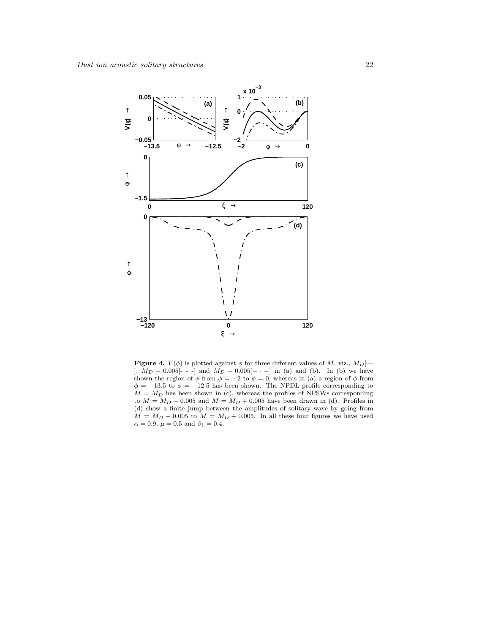

<span id="page-21-0"></span>**Figure 4.**  $V(\phi)$  is plotted against  $\phi$  for three different values of M, viz.,  $M_D$ [-],  $M_D - 0.005[- -]$  and  $M_D + 0.005[- -]$  in (a) and (b). In (b) we have shown the region of  $\phi$  from  $\phi = -2$  to  $\phi = 0$ , whereas in (a) a region of  $\phi$  from  $\phi = -13.5$  to  $\phi = -12.5$  has been shown. The NPDL profile corresponding to  $M = M_D$  has been shown in (c), whereas the profiles of NPSWs corresponding to  $M = M_D - 0.005$  and  $M = M_D + 0.005$  have been drawn in (d). Profiles in (d) show a finite jump between the amplitudes of solitary wave by going from  $M = M_D - 0.005$  to  $M = M_D + 0.005$ . In all these four figures we have used  $\alpha = 0.9, \ \mu = 0.5 \text{ and } \beta_1 = 0.4.$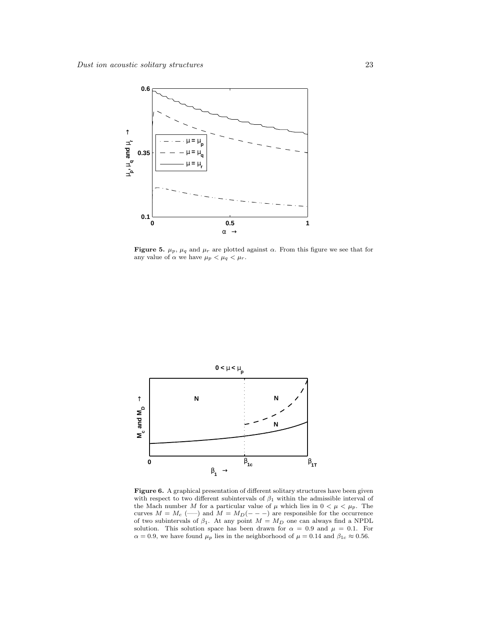

<span id="page-22-1"></span>Figure 5.  $\mu_p$ ,  $\mu_q$  and  $\mu_r$  are plotted against  $\alpha$ . From this figure we see that for any value of  $\alpha$  we have  $\mu_p < \mu_q < \mu_r$ .



<span id="page-22-0"></span>Figure 6. A graphical presentation of different solitary structures have been given with respect to two different subintervals of  $\beta_1$  within the admissible interval of the Mach number M for a particular value of  $\mu$  which lies in  $0 < \mu < \mu_p$ . The curves  $M = M_c$  (---) and  $M = M_D(- - -)$  are responsible for the occurrence of two subintervals of  $\beta_1$ . At any point  $M = M_D$  one can always find a NPDL solution. This solution space has been drawn for  $\alpha = 0.9$  and  $\mu = 0.1$ . For  $\alpha=0.9,$  we have found  $\mu_p$  lies in the neighborhood of  $\mu=0.14$  and  $\beta_{1c}\approx 0.56.$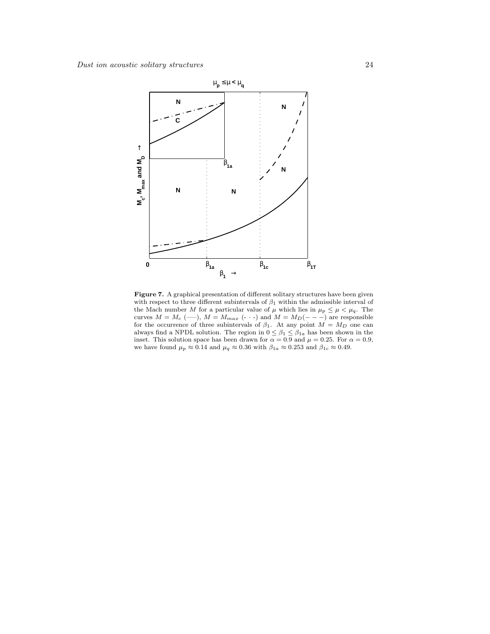

Figure 7. A graphical presentation of different solitary structures have been given with respect to three different subintervals of  $\beta_1$  within the admissible interval of the Mach number M for a particular value of  $\mu$  which lies in  $\mu_p \leq \mu < \mu_q$ . The curves  $M = M_c$  (---),  $M = M_{max}$  (- · -) and  $M = M_D(- - -)$  are responsible for the occurrence of three subintervals of  $\beta_1$ . At any point  $M = M_D$  one can always find a NPDL solution. The region in  $0 \leq \beta_1 \leq \beta_{1a}$  has been shown in the inset. This solution space has been drawn for  $\alpha = 0.9$  and  $\mu = 0.25$ . For  $\alpha = 0.9$ , we have found  $\mu_p \approx 0.14$  and  $\mu_q \approx 0.36$  with  $\beta_{1a} \approx 0.253$  and  $\beta_{1c} \approx 0.49$ .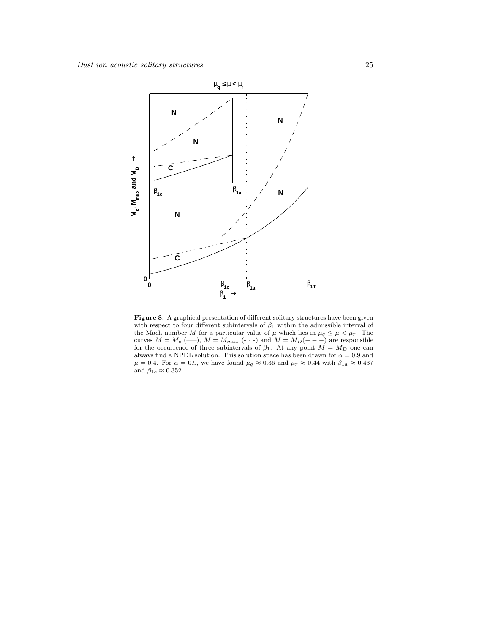

Figure 8. A graphical presentation of different solitary structures have been given with respect to four different subintervals of  $\beta_1$  within the admissible interval of the Mach number M for a particular value of  $\mu$  which lies in  $\mu_q \leq \mu < \mu_r$ . The curves  $M = M_c$  (---),  $M = M_{max}$  (- · -) and  $M = M_D(- - -)$  are responsible for the occurrence of three subintervals of  $\beta_1$ . At any point  $M = M_D$  one can always find a NPDL solution. This solution space has been drawn for  $\alpha=0.9$  and  $\mu = 0.4$ . For  $\alpha = 0.9$ , we have found  $\mu_q \approx 0.36$  and  $\mu_r \approx 0.44$  with  $\beta_{1a} \approx 0.437$ and  $\beta_{1c} \approx 0.352$ .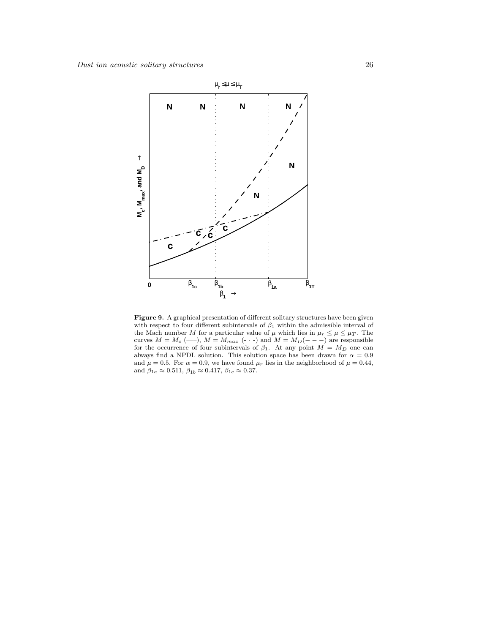

<span id="page-25-0"></span>Figure 9. A graphical presentation of different solitary structures have been given with respect to four different subintervals of  $\beta_1$  within the admissible interval of the Mach number M for a particular value of  $\mu$  which lies in  $\mu_r \leq \mu \leq \mu_T$ . The curves  $M = M_c$  (---),  $M = M_{max}$  (- · -) and  $M = M_D(- - -)$  are responsible for the occurrence of four subintervals of  $\beta_1$ . At any point  $M = M_D$  one can always find a NPDL solution. This solution space has been drawn for  $\alpha$  = 0.9 and  $\mu = 0.5$ . For  $\alpha = 0.9$ , we have found  $\mu_r$  lies in the neighborhood of  $\mu = 0.44$ , and  $\beta_{1a}\approx 0.511,\,\beta_{1b}\approx 0.417,\,\beta_{1c}\approx 0.37.$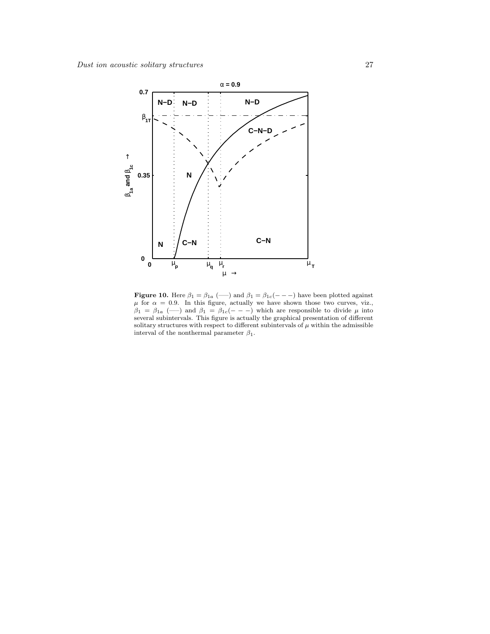

<span id="page-26-0"></span>**Figure 10.** Here  $\beta_1 = \beta_{1a}$  (--) and  $\beta_1 = \beta_{1c}(- - -)$  have been plotted against  $\mu$  for  $\alpha = 0.9$ . In this figure, actually we have shown those two curves, viz.,  $\beta_1 = \beta_{1a} \; (\text{---})$  and  $\beta_1 = \beta_{1c}(- - -)$  which are responsible to divide  $\mu$  into several subintervals. This figure is actually the graphical presentation of different solitary structures with respect to different subintervals of  $\mu$  within the admissible interval of the nonthermal parameter  $\beta_1$ .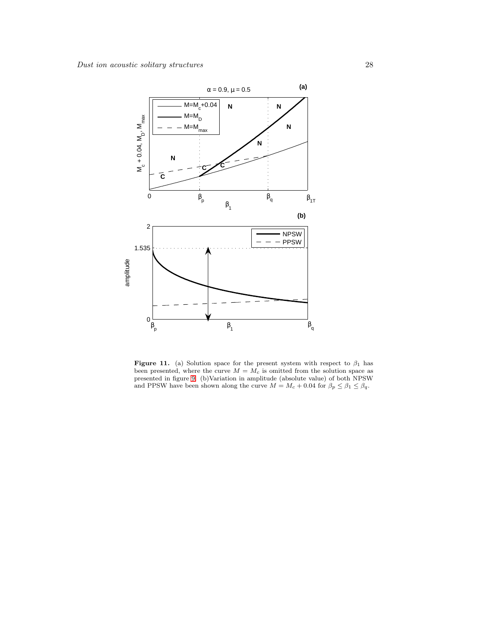

<span id="page-27-0"></span>Figure 11. (a) Solution space for the present system with respect to  $\beta_1$  has been presented, where the curve  $M = M_c$  is omitted from the solution space as presented in figure [9.](#page-25-0) (b)Variation in amplitude (absolute value) of both NPSW and PPSW have been shown along the curve  $M = M_c + 0.04$  for  $\beta_p \le \beta_1 \le \beta_q$ .